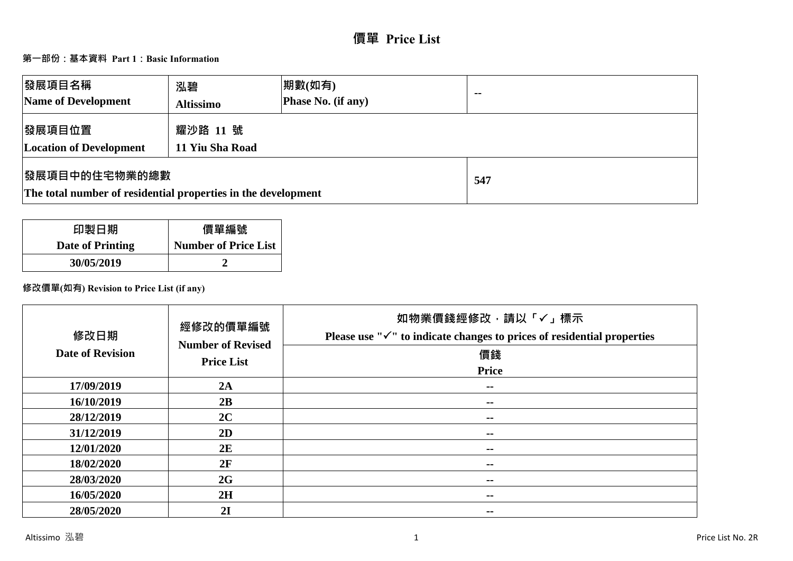# **價單 Price List**

# **第一部份:基本資料 Part 1:Basic Information**

| 發展項目名稱<br>Name of Development                                                          | 泓碧<br><b>Altissimo</b>      | 期數(如有)<br><b>Phase No. (if any)</b> | $-$ |
|----------------------------------------------------------------------------------------|-----------------------------|-------------------------------------|-----|
| 發展項目位置<br><b>Location of Development</b>                                               | 耀沙路 11 號<br>11 Yiu Sha Road |                                     |     |
| <b> 發展項目中的住宅物業的總數</b><br>The total number of residential properties in the development |                             | 547                                 |     |

| 印製日期             | 價單編號                        |
|------------------|-----------------------------|
| Date of Printing | <b>Number of Price List</b> |
| 30/05/2019       |                             |

# **修改價單(如有) Revision to Price List (if any)**

| 修改日期<br><b>Date of Revision</b> | 經修改的價單編號<br><b>Number of Revised</b><br><b>Price List</b> | 如物業價錢經修改,請以「✓」標示<br>Please use " $\checkmark$ " to indicate changes to prices of residential properties<br>價錢<br><b>Price</b> |
|---------------------------------|-----------------------------------------------------------|-------------------------------------------------------------------------------------------------------------------------------|
| 17/09/2019                      | 2A                                                        | $\sim$                                                                                                                        |
| 16/10/2019                      | 2B                                                        | $\sim$ $-$                                                                                                                    |
| 28/12/2019                      | 2C                                                        | $\sim$                                                                                                                        |
| 31/12/2019                      | 2D                                                        | $\sim$ $-$                                                                                                                    |
| 12/01/2020                      | 2E                                                        | --                                                                                                                            |
| 18/02/2020                      | 2F                                                        | $\sim$ $-$                                                                                                                    |
| 28/03/2020                      | 2G                                                        | $\sim$ $-$                                                                                                                    |
| 16/05/2020                      | 2H                                                        | $\sim$ $-$                                                                                                                    |
| 28/05/2020                      | 2I                                                        | --                                                                                                                            |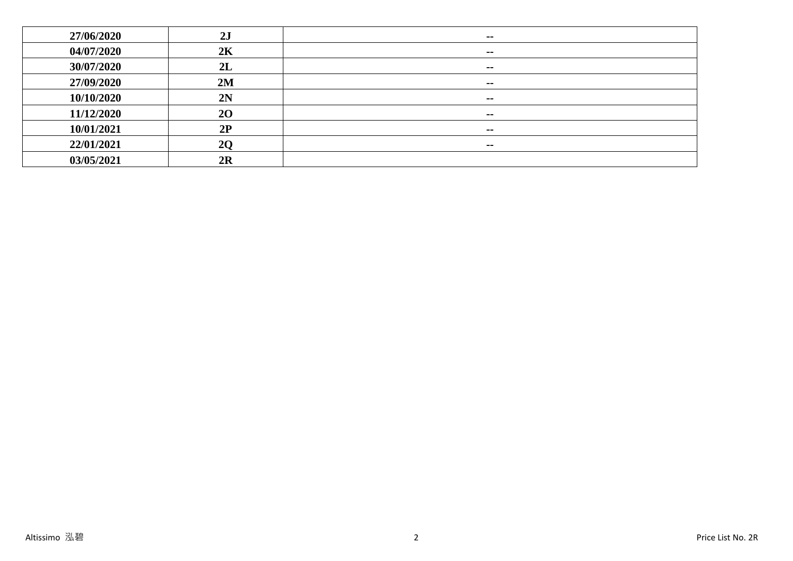| 27/06/2020 | 2J | $\sim$ |
|------------|----|--------|
| 04/07/2020 | 2K | $\sim$ |
| 30/07/2020 | 2L | $\sim$ |
| 27/09/2020 | 2M | $\sim$ |
| 10/10/2020 | 2N | $\sim$ |
| 11/12/2020 | 20 | $\sim$ |
| 10/01/2021 | 2P | $\sim$ |
| 22/01/2021 | 20 | $\sim$ |
| 03/05/2021 | 2R |        |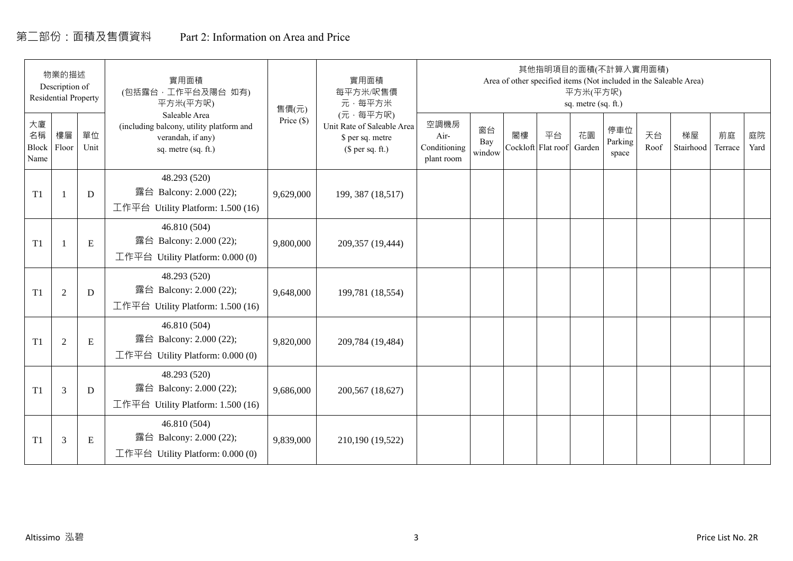# 第二部份:面積及售價資料 Part 2: Information on Area and Price

|                           | 物業的描述<br>Description of<br><b>Residential Property</b> |            | 實用面積<br>(包括露台,工作平台及陽台 如有)<br>平方米(平方呎)                                                                 | 售價(元)        | 實用面積<br>每平方米/呎售價<br>元·每平方米                                                     |                                            |                     |    |                          | 平方米(平方呎)<br>sq. metre (sq. ft.) | 其他指明項目的面積(不計算入實用面積)     |            | Area of other specified items (Not included in the Saleable Area) |               |            |
|---------------------------|--------------------------------------------------------|------------|-------------------------------------------------------------------------------------------------------|--------------|--------------------------------------------------------------------------------|--------------------------------------------|---------------------|----|--------------------------|---------------------------------|-------------------------|------------|-------------------------------------------------------------------|---------------|------------|
| 大廈<br>名稱<br>Block<br>Name | 樓層<br>Floor                                            | 單位<br>Unit | Saleable Area<br>(including balcony, utility platform and<br>verandah, if any)<br>sq. metre (sq. ft.) | Price $(\$)$ | (元·每平方呎)<br>Unit Rate of Saleable Area<br>\$ per sq. metre<br>$$$ per sq. ft.) | 空調機房<br>Air-<br>Conditioning<br>plant room | 窗台<br>Bay<br>window | 閣樓 | 平台<br>Cockloft Flat roof | 花園<br>Garden                    | 停車位<br>Parking<br>space | 天台<br>Roof | 梯屋<br>Stairhood                                                   | 前庭<br>Terrace | 庭院<br>Yard |
| T1                        |                                                        | D          | 48.293 (520)<br>露台 Balcony: 2.000 (22);<br>工作平台 Utility Platform: 1.500 (16)                          | 9,629,000    | 199, 387 (18,517)                                                              |                                            |                     |    |                          |                                 |                         |            |                                                                   |               |            |
| T1                        |                                                        | ${\bf E}$  | 46.810 (504)<br>露台 Balcony: 2.000 (22);<br>工作平台 Utility Platform: $0.000(0)$                          | 9,800,000    | 209,357 (19,444)                                                               |                                            |                     |    |                          |                                 |                         |            |                                                                   |               |            |
| T1                        | $\overline{2}$                                         | D          | 48.293 (520)<br>露台 Balcony: 2.000 (22);<br>工作平台 Utility Platform: 1.500 (16)                          | 9,648,000    | 199,781 (18,554)                                                               |                                            |                     |    |                          |                                 |                         |            |                                                                   |               |            |
| T1                        | 2                                                      | ${\bf E}$  | 46.810 (504)<br>露台 Balcony: 2.000 (22);<br>工作平台 Utility Platform: 0.000 (0)                           | 9,820,000    | 209,784 (19,484)                                                               |                                            |                     |    |                          |                                 |                         |            |                                                                   |               |            |
| T1                        | 3                                                      | D          | 48.293 (520)<br>露台 Balcony: 2.000 (22);<br>工作平台 Utility Platform: $1.500(16)$                         | 9,686,000    | 200,567 (18,627)                                                               |                                            |                     |    |                          |                                 |                         |            |                                                                   |               |            |
| T1                        | 3                                                      | Ε          | 46.810 (504)<br>露台 Balcony: 2.000 (22);<br>工作平台 Utility Platform: $0.000(0)$                          | 9,839,000    | 210,190 (19,522)                                                               |                                            |                     |    |                          |                                 |                         |            |                                                                   |               |            |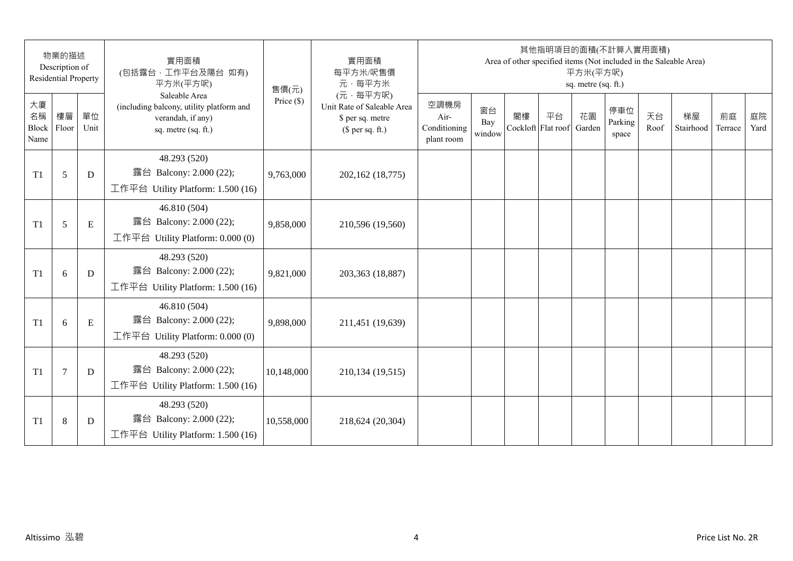|                                 | 物業的描述<br>Description of<br><b>Residential Property</b> |            | 實用面積<br>(包括露台,工作平台及陽台 如有)<br>平方米(平方呎)                                                                 | 售價(元)        | 實用面積<br>每平方米/呎售價<br>元·每平方米                                                     |                                            |                     |                          | 其他指明項目的面積(不計算入實用面積) | 平方米(平方呎)<br>sq. metre (sq. ft.) |                         |            | Area of other specified items (Not included in the Saleable Area) |               |            |
|---------------------------------|--------------------------------------------------------|------------|-------------------------------------------------------------------------------------------------------|--------------|--------------------------------------------------------------------------------|--------------------------------------------|---------------------|--------------------------|---------------------|---------------------------------|-------------------------|------------|-------------------------------------------------------------------|---------------|------------|
| 大廈<br>名稱<br>Block Floor<br>Name | 樓層                                                     | 單位<br>Unit | Saleable Area<br>(including balcony, utility platform and<br>verandah, if any)<br>sq. metre (sq. ft.) | Price $(\$)$ | (元·每平方呎)<br>Unit Rate of Saleable Area<br>\$ per sq. metre<br>$$$ per sq. ft.) | 空調機房<br>Air-<br>Conditioning<br>plant room | 窗台<br>Bay<br>window | 閣樓<br>Cockloft Flat roof | 平台                  | 花園<br>Garden                    | 停車位<br>Parking<br>space | 天台<br>Roof | 梯屋<br>Stairhood                                                   | 前庭<br>Terrace | 庭院<br>Yard |
| T1                              | 5                                                      | D          | 48.293 (520)<br>露台 Balcony: 2.000 (22);<br>工作平台 Utility Platform: 1.500 (16)                          | 9,763,000    | 202,162 (18,775)                                                               |                                            |                     |                          |                     |                                 |                         |            |                                                                   |               |            |
| T1                              | 5                                                      | E          | 46.810 (504)<br>露台 Balcony: 2.000 (22);<br>工作平台 Utility Platform: 0.000 (0)                           | 9,858,000    | 210,596 (19,560)                                                               |                                            |                     |                          |                     |                                 |                         |            |                                                                   |               |            |
| T1                              | 6                                                      | D          | 48.293 (520)<br>露台 Balcony: 2.000 (22);<br>工作平台 Utility Platform: 1.500 (16)                          | 9,821,000    | 203,363 (18,887)                                                               |                                            |                     |                          |                     |                                 |                         |            |                                                                   |               |            |
| T1                              | 6                                                      | ${\bf E}$  | 46.810 (504)<br>露台 Balcony: 2.000 (22);<br>工作平台 Utility Platform: 0.000 (0)                           | 9,898,000    | 211,451 (19,639)                                                               |                                            |                     |                          |                     |                                 |                         |            |                                                                   |               |            |
| T1                              | $\tau$                                                 | D          | 48.293 (520)<br>露台 Balcony: 2.000 (22);<br>工作平台 Utility Platform: 1.500 (16)                          | 10,148,000   | 210,134 (19,515)                                                               |                                            |                     |                          |                     |                                 |                         |            |                                                                   |               |            |
| T1                              | $\,8\,$                                                | D          | 48.293 (520)<br>露台 Balcony: 2.000 (22);<br>工作平台 Utility Platform: 1.500 (16)                          | 10,558,000   | 218,624 (20,304)                                                               |                                            |                     |                          |                     |                                 |                         |            |                                                                   |               |            |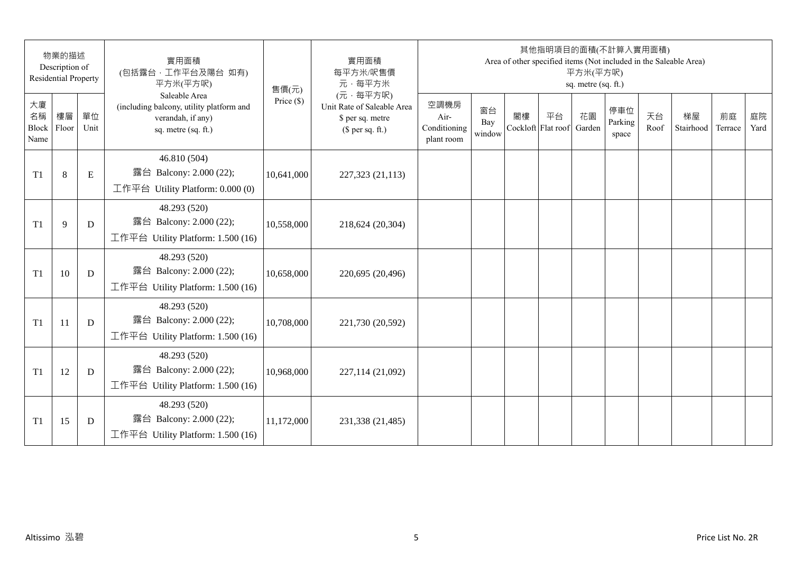|                           | 物業的描述<br>Description of<br><b>Residential Property</b> |             | 實用面積<br>(包括露台,工作平台及陽台 如有)<br>平方米(平方呎)                                                                 | 售價(元)        | 實用面積<br>每平方米/呎售價<br>元·每平方米                                                     |                                            |                     |    | 其他指明項目的面積(不計算入實用面積)      | 平方米(平方呎)<br>sq. metre (sq. ft.) |                         |            | Area of other specified items (Not included in the Saleable Area) |               |            |
|---------------------------|--------------------------------------------------------|-------------|-------------------------------------------------------------------------------------------------------|--------------|--------------------------------------------------------------------------------|--------------------------------------------|---------------------|----|--------------------------|---------------------------------|-------------------------|------------|-------------------------------------------------------------------|---------------|------------|
| 大廈<br>名稱<br>Block<br>Name | 樓層<br>Floor                                            | 單位<br>Unit  | Saleable Area<br>(including balcony, utility platform and<br>verandah, if any)<br>sq. metre (sq. ft.) | Price $(\$)$ | (元·每平方呎)<br>Unit Rate of Saleable Area<br>\$ per sq. metre<br>$$$ per sq. ft.) | 空調機房<br>Air-<br>Conditioning<br>plant room | 窗台<br>Bay<br>window | 閣樓 | 平台<br>Cockloft Flat roof | 花園<br>Garden                    | 停車位<br>Parking<br>space | 天台<br>Roof | 梯屋<br>Stairhood                                                   | 前庭<br>Terrace | 庭院<br>Yard |
| T <sub>1</sub>            | $8\,$                                                  | $\mathbf E$ | 46.810 (504)<br>露台 Balcony: 2.000 (22);<br>工作平台 Utility Platform: 0.000 (0)                           | 10,641,000   | 227,323 (21,113)                                                               |                                            |                     |    |                          |                                 |                         |            |                                                                   |               |            |
| T <sub>1</sub>            | 9                                                      | D           | 48.293 (520)<br>露台 Balcony: 2.000 (22);<br>工作平台 Utility Platform: 1.500 (16)                          | 10,558,000   | 218,624 (20,304)                                                               |                                            |                     |    |                          |                                 |                         |            |                                                                   |               |            |
| T <sub>1</sub>            | 10                                                     | D           | 48.293 (520)<br>露台 Balcony: 2.000 (22);<br>工作平台 Utility Platform: 1.500 (16)                          | 10,658,000   | 220,695 (20,496)                                                               |                                            |                     |    |                          |                                 |                         |            |                                                                   |               |            |
| T <sub>1</sub>            | 11                                                     | D           | 48.293 (520)<br>露台 Balcony: 2.000 (22);<br>工作平台 Utility Platform: 1.500 (16)                          | 10,708,000   | 221,730 (20,592)                                                               |                                            |                     |    |                          |                                 |                         |            |                                                                   |               |            |
| T <sub>1</sub>            | 12                                                     | D           | 48.293 (520)<br>露台 Balcony: 2.000 (22);<br>工作平台 Utility Platform: 1.500 (16)                          | 10,968,000   | 227,114 (21,092)                                                               |                                            |                     |    |                          |                                 |                         |            |                                                                   |               |            |
| T1                        | 15                                                     | D           | 48.293 (520)<br>露台 Balcony: 2.000 (22);<br>工作平台 Utility Platform: 1.500 (16)                          | 11,172,000   | 231,338 (21,485)                                                               |                                            |                     |    |                          |                                 |                         |            |                                                                   |               |            |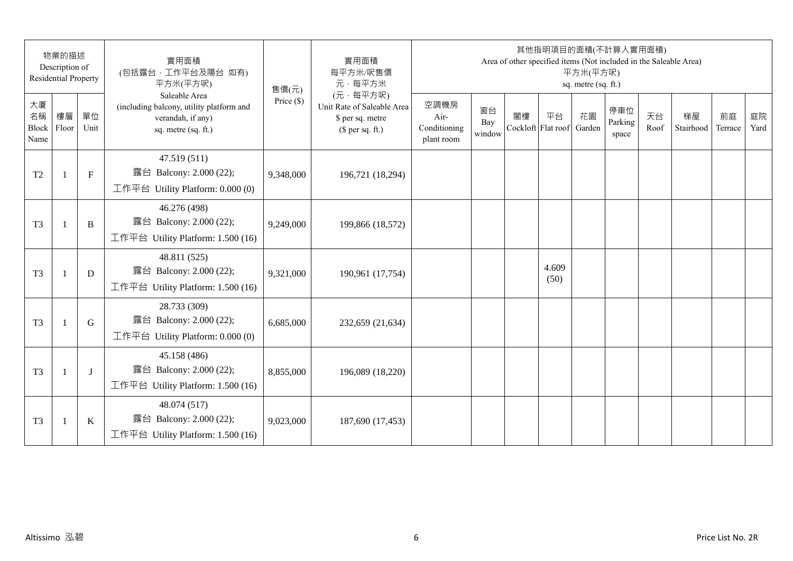|                           | 物業的描述<br>Description of<br><b>Residential Property</b> |              | 實用面積<br>(包括露台,工作平台及陽台 如有)<br>平方米(平方呎)                                                                 | 售價(元)        | 實用面積<br>每平方米/呎售價<br>元·每平方米                                                     |                                            |                     |    | 其他指明項目的面積(不計算入實用面積)<br>Area of other specified items (Not included in the Saleable Area) | 平方米(平方呎)<br>sq. metre (sq. ft.) |                         |            |                 |               |            |
|---------------------------|--------------------------------------------------------|--------------|-------------------------------------------------------------------------------------------------------|--------------|--------------------------------------------------------------------------------|--------------------------------------------|---------------------|----|------------------------------------------------------------------------------------------|---------------------------------|-------------------------|------------|-----------------|---------------|------------|
| 大廈<br>名稱<br>Block<br>Name | 樓層<br>Floor                                            | 單位<br>Unit   | Saleable Area<br>(including balcony, utility platform and<br>verandah, if any)<br>sq. metre (sq. ft.) | Price $(\$)$ | (元·每平方呎)<br>Unit Rate of Saleable Area<br>\$ per sq. metre<br>(\$ per sq. ft.) | 空調機房<br>Air-<br>Conditioning<br>plant room | 窗台<br>Bay<br>window | 閣樓 | 平台<br>Cockloft Flat roof                                                                 | 花園<br>Garden                    | 停車位<br>Parking<br>space | 天台<br>Roof | 梯屋<br>Stairhood | 前庭<br>Terrace | 庭院<br>Yard |
| T <sub>2</sub>            | $\mathbf{1}$                                           | $\mathbf{F}$ | 47.519 (511)<br>露台 Balcony: 2.000 (22);<br>工作平台 Utility Platform: 0.000 (0)                           | 9,348,000    | 196,721 (18,294)                                                               |                                            |                     |    |                                                                                          |                                 |                         |            |                 |               |            |
| T <sub>3</sub>            | $\overline{1}$                                         | B            | 46.276 (498)<br>露台 Balcony: 2.000 (22);<br>工作平台 Utility Platform: 1.500 (16)                          | 9,249,000    | 199,866 (18,572)                                                               |                                            |                     |    |                                                                                          |                                 |                         |            |                 |               |            |
| T <sub>3</sub>            | $\mathbf{1}$                                           | D            | 48.811 (525)<br>露台 Balcony: 2.000 (22);<br>工作平台 Utility Platform: 1.500 (16)                          | 9,321,000    | 190,961 (17,754)                                                               |                                            |                     |    | 4.609<br>(50)                                                                            |                                 |                         |            |                 |               |            |
| T <sub>3</sub>            |                                                        | G            | 28.733 (309)<br>露台 Balcony: 2.000 (22);<br>工作平台 Utility Platform: 0.000 (0)                           | 6,685,000    | 232,659 (21,634)                                                               |                                            |                     |    |                                                                                          |                                 |                         |            |                 |               |            |
| T <sub>3</sub>            | $\mathbf{1}$                                           | J            | 45.158 (486)<br>露台 Balcony: 2.000 (22);<br>工作平台 Utility Platform: 1.500 (16)                          | 8,855,000    | 196,089 (18,220)                                                               |                                            |                     |    |                                                                                          |                                 |                         |            |                 |               |            |
| T <sub>3</sub>            | $\overline{1}$                                         | K            | 48.074 (517)<br>露台 Balcony: 2.000 (22);<br>工作平台 Utility Platform: $1.500(16)$                         | 9,023,000    | 187,690 (17,453)                                                               |                                            |                     |    |                                                                                          |                                 |                         |            |                 |               |            |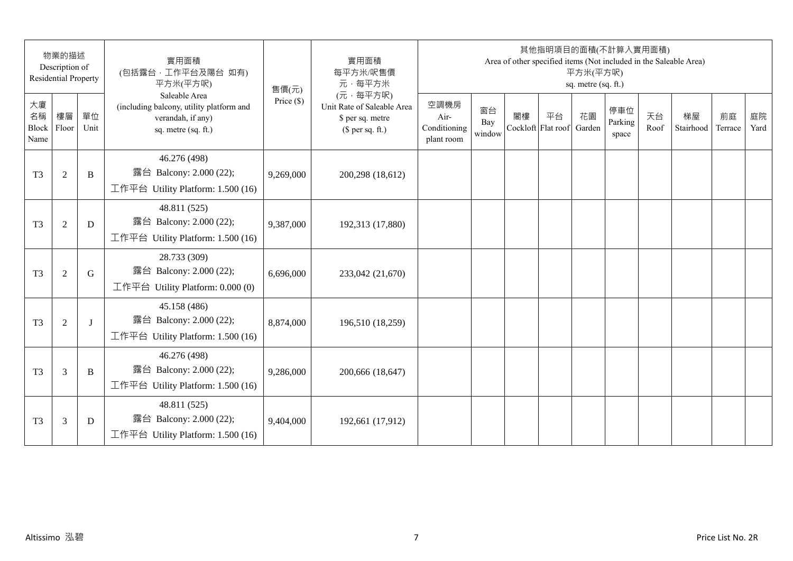|                                 | 物業的描述<br>Description of<br><b>Residential Property</b> |            | 實用面積<br>(包括露台,工作平台及陽台 如有)<br>平方米(平方呎)                                                                 | 售價(元)        | 實用面積<br>每平方米/呎售價<br>元·每平方米                                                     |                                            |                     |    | 其他指明項目的面積(不計算入實用面積)<br>Area of other specified items (Not included in the Saleable Area) | 平方米(平方呎)<br>sq. metre (sq. ft.) |                         |            |                 |               |            |
|---------------------------------|--------------------------------------------------------|------------|-------------------------------------------------------------------------------------------------------|--------------|--------------------------------------------------------------------------------|--------------------------------------------|---------------------|----|------------------------------------------------------------------------------------------|---------------------------------|-------------------------|------------|-----------------|---------------|------------|
| 大廈<br>名稱<br>Block Floor<br>Name | 樓層                                                     | 單位<br>Unit | Saleable Area<br>(including balcony, utility platform and<br>verandah, if any)<br>sq. metre (sq. ft.) | Price $(\$)$ | (元·每平方呎)<br>Unit Rate of Saleable Area<br>\$ per sq. metre<br>$$$ per sq. ft.) | 空調機房<br>Air-<br>Conditioning<br>plant room | 窗台<br>Bay<br>window | 閣樓 | 平台<br>Cockloft Flat roof                                                                 | 花園<br>Garden                    | 停車位<br>Parking<br>space | 天台<br>Roof | 梯屋<br>Stairhood | 前庭<br>Terrace | 庭院<br>Yard |
| T <sub>3</sub>                  | $\overline{2}$                                         | B          | 46.276 (498)<br>露台 Balcony: 2.000 (22);<br>工作平台 Utility Platform: 1.500 (16)                          | 9,269,000    | 200,298 (18,612)                                                               |                                            |                     |    |                                                                                          |                                 |                         |            |                 |               |            |
| T <sub>3</sub>                  | $\mathfrak{2}$                                         | D          | 48.811 (525)<br>露台 Balcony: 2.000 (22);<br>工作平台 Utility Platform: 1.500 (16)                          | 9,387,000    | 192,313 (17,880)                                                               |                                            |                     |    |                                                                                          |                                 |                         |            |                 |               |            |
| T <sub>3</sub>                  | $\mathfrak{2}$                                         | G          | 28.733 (309)<br>露台 Balcony: 2.000 (22);<br>工作平台 Utility Platform: 0.000 (0)                           | 6,696,000    | 233,042 (21,670)                                                               |                                            |                     |    |                                                                                          |                                 |                         |            |                 |               |            |
| T <sub>3</sub>                  | $\overline{2}$                                         | $\bf{J}$   | 45.158 (486)<br>露台 Balcony: 2.000 (22);<br>工作平台 Utility Platform: 1.500 (16)                          | 8,874,000    | 196,510 (18,259)                                                               |                                            |                     |    |                                                                                          |                                 |                         |            |                 |               |            |
| T <sub>3</sub>                  | 3                                                      | B          | 46.276 (498)<br>露台 Balcony: 2.000 (22);<br>工作平台 Utility Platform: 1.500 (16)                          | 9,286,000    | 200,666 (18,647)                                                               |                                            |                     |    |                                                                                          |                                 |                         |            |                 |               |            |
| T <sub>3</sub>                  | 3                                                      | D          | 48.811 (525)<br>露台 Balcony: 2.000 (22);<br>工作平台 Utility Platform: 1.500 (16)                          | 9,404,000    | 192,661 (17,912)                                                               |                                            |                     |    |                                                                                          |                                 |                         |            |                 |               |            |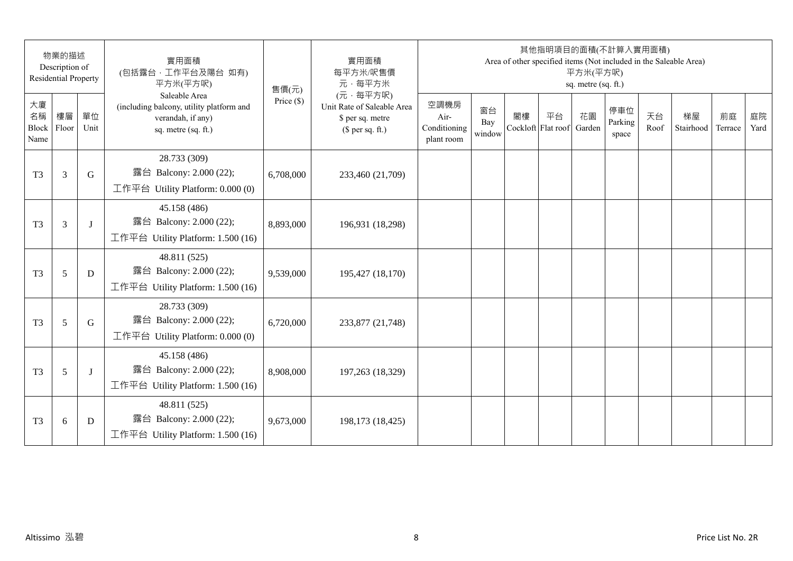|                                 | 物業的描述<br>Description of<br><b>Residential Property</b> |            | 實用面積<br>(包括露台,工作平台及陽台 如有)<br>平方米(平方呎)                                                                 | 售價(元)        | 實用面積<br>每平方米/呎售價<br>元·每平方米                                                     |                                            |                     |    | 其他指明項目的面積(不計算入實用面積)<br>Area of other specified items (Not included in the Saleable Area) | 平方米(平方呎)<br>sq. metre (sq. ft.) |                         |            |                 |               |            |
|---------------------------------|--------------------------------------------------------|------------|-------------------------------------------------------------------------------------------------------|--------------|--------------------------------------------------------------------------------|--------------------------------------------|---------------------|----|------------------------------------------------------------------------------------------|---------------------------------|-------------------------|------------|-----------------|---------------|------------|
| 大廈<br>名稱<br>Block Floor<br>Name | 樓層                                                     | 單位<br>Unit | Saleable Area<br>(including balcony, utility platform and<br>verandah, if any)<br>sq. metre (sq. ft.) | Price $(\$)$ | (元·每平方呎)<br>Unit Rate of Saleable Area<br>\$ per sq. metre<br>$$$ per sq. ft.) | 空調機房<br>Air-<br>Conditioning<br>plant room | 窗台<br>Bay<br>window | 閣樓 | 平台<br>Cockloft Flat roof                                                                 | 花園<br>Garden                    | 停車位<br>Parking<br>space | 天台<br>Roof | 梯屋<br>Stairhood | 前庭<br>Terrace | 庭院<br>Yard |
| T <sub>3</sub>                  | 3                                                      | G          | 28.733 (309)<br>露台 Balcony: 2.000 (22);<br>工作平台 Utility Platform: 0.000 (0)                           | 6,708,000    | 233,460 (21,709)                                                               |                                            |                     |    |                                                                                          |                                 |                         |            |                 |               |            |
| T <sub>3</sub>                  | 3                                                      | $\bf{J}$   | 45.158 (486)<br>露台 Balcony: 2.000 (22);<br>工作平台 Utility Platform: 1.500 (16)                          | 8,893,000    | 196,931 (18,298)                                                               |                                            |                     |    |                                                                                          |                                 |                         |            |                 |               |            |
| T <sub>3</sub>                  | 5                                                      | D          | 48.811 (525)<br>露台 Balcony: 2.000 (22);<br>工作平台 Utility Platform: 1.500 (16)                          | 9,539,000    | 195,427 (18,170)                                                               |                                            |                     |    |                                                                                          |                                 |                         |            |                 |               |            |
| T <sub>3</sub>                  | 5                                                      | G          | 28.733 (309)<br>露台 Balcony: 2.000 (22);<br>工作平台 Utility Platform: 0.000 (0)                           | 6,720,000    | 233,877 (21,748)                                                               |                                            |                     |    |                                                                                          |                                 |                         |            |                 |               |            |
| T <sub>3</sub>                  | 5                                                      | J          | 45.158 (486)<br>露台 Balcony: 2.000 (22);<br>工作平台 Utility Platform: 1.500 (16)                          | 8,908,000    | 197,263 (18,329)                                                               |                                            |                     |    |                                                                                          |                                 |                         |            |                 |               |            |
| T <sub>3</sub>                  | 6                                                      | D          | 48.811 (525)<br>露台 Balcony: 2.000 (22);<br>工作平台 Utility Platform: 1.500 (16)                          | 9,673,000    | 198,173 (18,425)                                                               |                                            |                     |    |                                                                                          |                                 |                         |            |                 |               |            |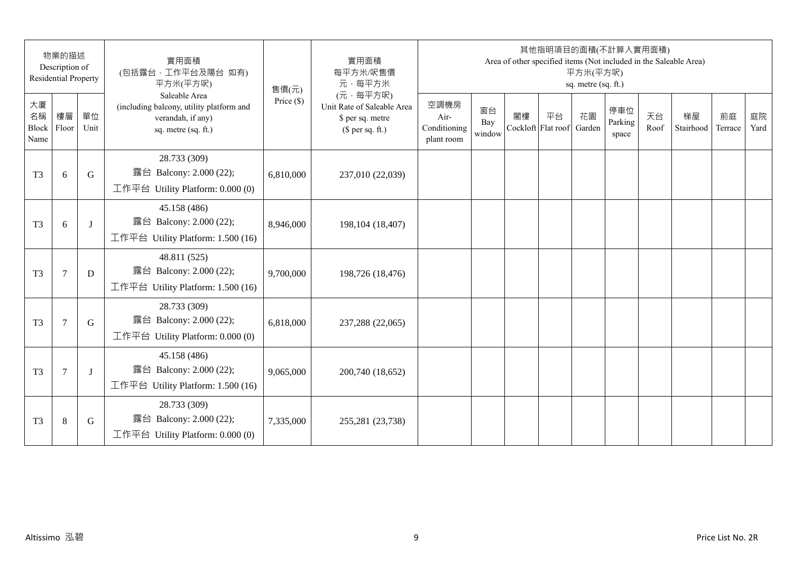|                                 | 物業的描述<br>Description of<br><b>Residential Property</b> |            | 實用面積<br>(包括露台, 工作平台及陽台 如有)<br>平方米(平方呎)                                                                | 售價(元)        | 實用面積<br>每平方米/呎售價<br>元·每平方米                                                     |                                            |                     |                          | 其他指明項目的面積(不計算入實用面積) | 平方米(平方呎)<br>sq. metre (sq. ft.) |                         |            | Area of other specified items (Not included in the Saleable Area) |               |            |
|---------------------------------|--------------------------------------------------------|------------|-------------------------------------------------------------------------------------------------------|--------------|--------------------------------------------------------------------------------|--------------------------------------------|---------------------|--------------------------|---------------------|---------------------------------|-------------------------|------------|-------------------------------------------------------------------|---------------|------------|
| 大廈<br>名稱<br>Block Floor<br>Name | 樓層                                                     | 單位<br>Unit | Saleable Area<br>(including balcony, utility platform and<br>verandah, if any)<br>sq. metre (sq. ft.) | Price $(\$)$ | (元·每平方呎)<br>Unit Rate of Saleable Area<br>\$ per sq. metre<br>$$$ per sq. ft.) | 空調機房<br>Air-<br>Conditioning<br>plant room | 窗台<br>Bay<br>window | 閣樓<br>Cockloft Flat roof | 平台                  | 花園<br>Garden                    | 停車位<br>Parking<br>space | 天台<br>Roof | 梯屋<br>Stairhood                                                   | 前庭<br>Terrace | 庭院<br>Yard |
| T <sub>3</sub>                  | 6                                                      | G          | 28.733 (309)<br>露台 Balcony: 2.000 (22);<br>工作平台 Utility Platform: 0.000 (0)                           | 6,810,000    | 237,010 (22,039)                                                               |                                            |                     |                          |                     |                                 |                         |            |                                                                   |               |            |
| T <sub>3</sub>                  | 6                                                      | $\bf{J}$   | 45.158 (486)<br>露台 Balcony: 2.000 (22);<br>工作平台 Utility Platform: 1.500 (16)                          | 8,946,000    | 198, 104 (18, 407)                                                             |                                            |                     |                          |                     |                                 |                         |            |                                                                   |               |            |
| T <sub>3</sub>                  | $\tau$                                                 | D          | 48.811 (525)<br>露台 Balcony: 2.000 (22);<br>工作平台 Utility Platform: 1.500 (16)                          | 9,700,000    | 198,726 (18,476)                                                               |                                            |                     |                          |                     |                                 |                         |            |                                                                   |               |            |
| T <sub>3</sub>                  | $\overline{7}$                                         | G          | 28.733 (309)<br>露台 Balcony: 2.000 (22);<br>工作平台 Utility Platform: 0.000 (0)                           | 6,818,000    | 237,288 (22,065)                                                               |                                            |                     |                          |                     |                                 |                         |            |                                                                   |               |            |
| T <sub>3</sub>                  | 7                                                      | J          | 45.158 (486)<br>露台 Balcony: 2.000 (22);<br>工作平台 Utility Platform: 1.500 (16)                          | 9,065,000    | 200,740 (18,652)                                                               |                                            |                     |                          |                     |                                 |                         |            |                                                                   |               |            |
| T <sub>3</sub>                  | $\,8\,$                                                | G          | 28.733 (309)<br>露台 Balcony: 2.000 (22);<br>工作平台 Utility Platform: 0.000 (0)                           | 7,335,000    | 255,281 (23,738)                                                               |                                            |                     |                          |                     |                                 |                         |            |                                                                   |               |            |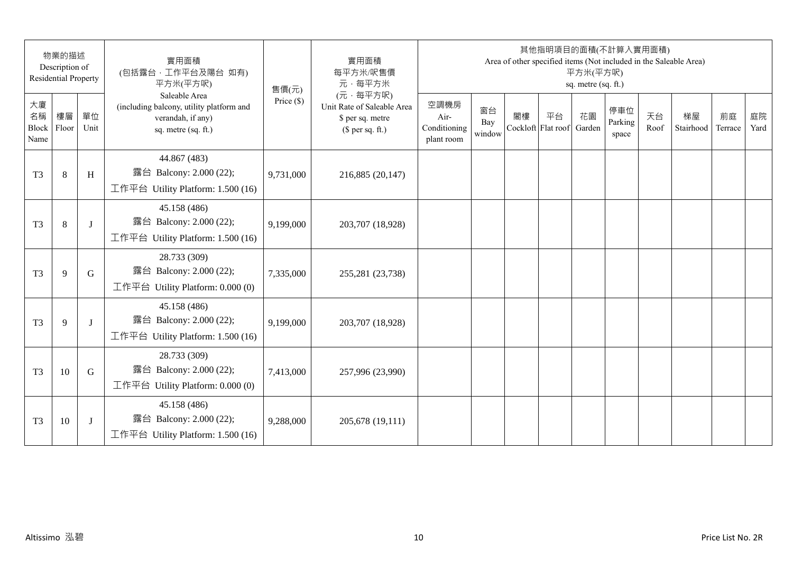|                                 | 物業的描述<br>Description of<br><b>Residential Property</b> |            | 實用面積<br>(包括露台,工作平台及陽台 如有)<br>平方米(平方呎)                                                                 | 售價(元)        | 實用面積<br>每平方米/呎售價<br>元·每平方米                                                     |                                            |                     |    | 其他指明項目的面積(不計算入實用面積)<br>Area of other specified items (Not included in the Saleable Area) | 平方米(平方呎)<br>sq. metre (sq. ft.) |                         |            |                 |               |            |
|---------------------------------|--------------------------------------------------------|------------|-------------------------------------------------------------------------------------------------------|--------------|--------------------------------------------------------------------------------|--------------------------------------------|---------------------|----|------------------------------------------------------------------------------------------|---------------------------------|-------------------------|------------|-----------------|---------------|------------|
| 大廈<br>名稱<br>Block Floor<br>Name | 樓層                                                     | 單位<br>Unit | Saleable Area<br>(including balcony, utility platform and<br>verandah, if any)<br>sq. metre (sq. ft.) | Price $(\$)$ | (元·每平方呎)<br>Unit Rate of Saleable Area<br>\$ per sq. metre<br>$$$ per sq. ft.) | 空調機房<br>Air-<br>Conditioning<br>plant room | 窗台<br>Bay<br>window | 閣樓 | 平台<br>Cockloft Flat roof                                                                 | 花園<br>Garden                    | 停車位<br>Parking<br>space | 天台<br>Roof | 梯屋<br>Stairhood | 前庭<br>Terrace | 庭院<br>Yard |
| T <sub>3</sub>                  | $\,8\,$                                                | H          | 44.867 (483)<br>露台 Balcony: 2.000 (22);<br>工作平台 Utility Platform: 1.500 (16)                          | 9,731,000    | 216,885 (20,147)                                                               |                                            |                     |    |                                                                                          |                                 |                         |            |                 |               |            |
| T <sub>3</sub>                  | $\,8\,$                                                | J          | 45.158 (486)<br>露台 Balcony: 2.000 (22);<br>工作平台 Utility Platform: 1.500 (16)                          | 9,199,000    | 203,707 (18,928)                                                               |                                            |                     |    |                                                                                          |                                 |                         |            |                 |               |            |
| T <sub>3</sub>                  | 9                                                      | G          | 28.733 (309)<br>露台 Balcony: 2.000 (22);<br>工作平台 Utility Platform: 0.000 (0)                           | 7,335,000    | 255,281 (23,738)                                                               |                                            |                     |    |                                                                                          |                                 |                         |            |                 |               |            |
| T <sub>3</sub>                  | 9                                                      | $\bf{J}$   | 45.158 (486)<br>露台 Balcony: 2.000 (22);<br>工作平台 Utility Platform: 1.500 (16)                          | 9,199,000    | 203,707 (18,928)                                                               |                                            |                     |    |                                                                                          |                                 |                         |            |                 |               |            |
| T <sub>3</sub>                  | 10                                                     | G          | 28.733 (309)<br>露台 Balcony: 2.000 (22);<br>工作平台 Utility Platform: 0.000 (0)                           | 7,413,000    | 257,996 (23,990)                                                               |                                            |                     |    |                                                                                          |                                 |                         |            |                 |               |            |
| T <sub>3</sub>                  | 10                                                     | J          | 45.158 (486)<br>露台 Balcony: 2.000 (22);<br>工作平台 Utility Platform: $1.500(16)$                         | 9,288,000    | 205,678 (19,111)                                                               |                                            |                     |    |                                                                                          |                                 |                         |            |                 |               |            |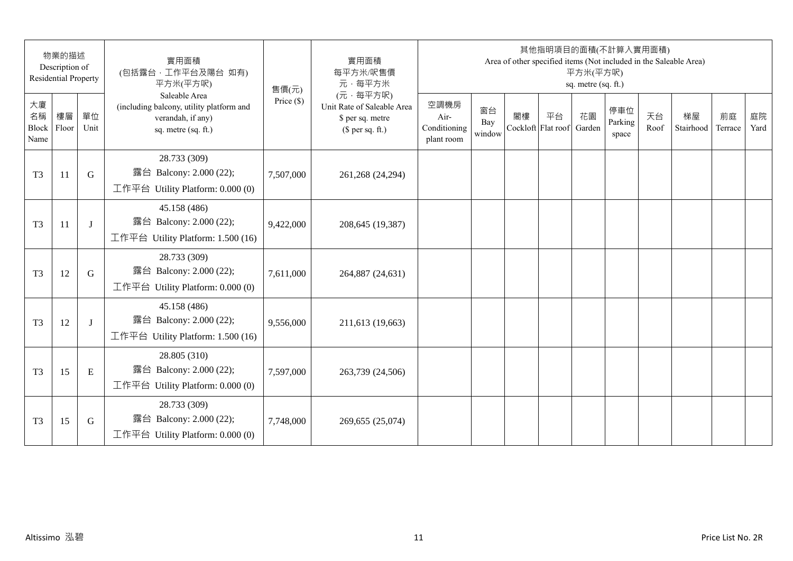| 物業的描述<br>Description of<br><b>Residential Property</b> |    |            | 實用面積<br>(包括露台, 工作平台及陽台 如有)<br>平方米(平方呎)                                                                | 實用面積<br>每平方米/呎售價<br>元·每平方米<br>售價(元) | 其他指明項目的面積(不計算入實用面積)<br>Area of other specified items (Not included in the Saleable Area)<br>平方米(平方呎)<br>sq. metre (sq. ft.) |                                            |                     |                          |    |              |                         |            |                 |               |            |
|--------------------------------------------------------|----|------------|-------------------------------------------------------------------------------------------------------|-------------------------------------|-----------------------------------------------------------------------------------------------------------------------------|--------------------------------------------|---------------------|--------------------------|----|--------------|-------------------------|------------|-----------------|---------------|------------|
| 大廈<br>名稱<br>Block Floor<br>Name                        | 樓層 | 單位<br>Unit | Saleable Area<br>(including balcony, utility platform and<br>verandah, if any)<br>sq. metre (sq. ft.) | Price $(\$)$                        | (元·每平方呎)<br>Unit Rate of Saleable Area<br>\$ per sq. metre<br>$$$ per sq. ft.)                                              | 空調機房<br>Air-<br>Conditioning<br>plant room | 窗台<br>Bay<br>window | 閣樓<br>Cockloft Flat roof | 平台 | 花園<br>Garden | 停車位<br>Parking<br>space | 天台<br>Roof | 梯屋<br>Stairhood | 前庭<br>Terrace | 庭院<br>Yard |
| T <sub>3</sub>                                         | 11 | G          | 28.733 (309)<br>露台 Balcony: 2.000 (22);<br>工作平台 Utility Platform: 0.000 (0)                           | 7,507,000                           | 261,268 (24,294)                                                                                                            |                                            |                     |                          |    |              |                         |            |                 |               |            |
| T <sub>3</sub>                                         | 11 | J          | 45.158 (486)<br>露台 Balcony: 2.000 (22);<br>工作平台 Utility Platform: 1.500 (16)                          | 9,422,000                           | 208,645 (19,387)                                                                                                            |                                            |                     |                          |    |              |                         |            |                 |               |            |
| T <sub>3</sub>                                         | 12 | G          | 28.733 (309)<br>露台 Balcony: 2.000 (22);<br>工作平台 Utility Platform: $0.000(0)$                          | 7,611,000                           | 264,887 (24,631)                                                                                                            |                                            |                     |                          |    |              |                         |            |                 |               |            |
| T <sub>3</sub>                                         | 12 | J          | 45.158 (486)<br>露台 Balcony: 2.000 (22);<br>工作平台 Utility Platform: 1.500 (16)                          | 9,556,000                           | 211,613 (19,663)                                                                                                            |                                            |                     |                          |    |              |                         |            |                 |               |            |
| T <sub>3</sub>                                         | 15 | E          | 28.805 (310)<br>露台 Balcony: 2.000 (22);<br>工作平台 Utility Platform: $0.000(0)$                          | 7,597,000                           | 263,739 (24,506)                                                                                                            |                                            |                     |                          |    |              |                         |            |                 |               |            |
| T <sub>3</sub>                                         | 15 | G          | 28.733 (309)<br>露台 Balcony: 2.000 (22);<br>工作平台 Utility Platform: 0.000 (0)                           | 7,748,000                           | 269,655 (25,074)                                                                                                            |                                            |                     |                          |    |              |                         |            |                 |               |            |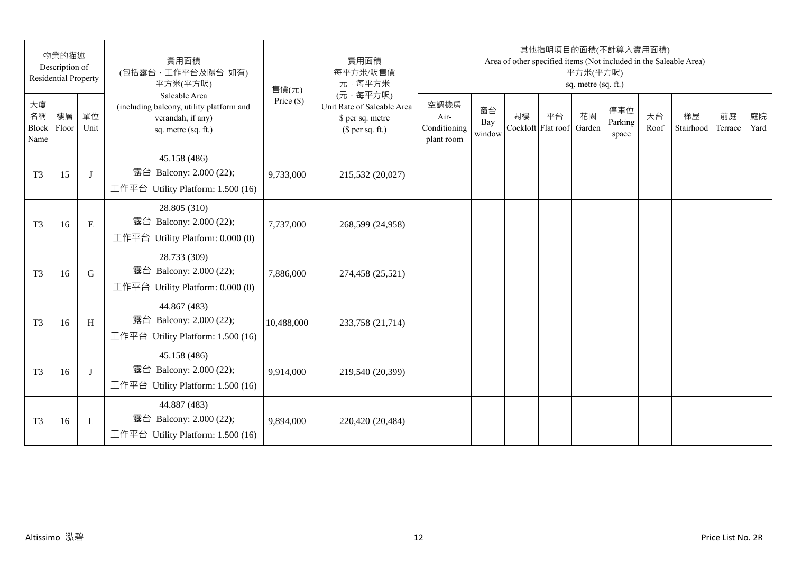| 物業的描述<br>Description of<br><b>Residential Property</b> |    |            | 實用面積<br>(包括露台,工作平台及陽台 如有)<br>平方米(平方呎)                                                                 | 實用面積<br>每平方米/呎售價<br>元·每平方米<br>售價(元) | 其他指明項目的面積(不計算入實用面積)<br>Area of other specified items (Not included in the Saleable Area)<br>平方米(平方呎)<br>sq. metre (sq. ft.) |                                            |                     |    |                          |              |                         |            |                 |               |            |
|--------------------------------------------------------|----|------------|-------------------------------------------------------------------------------------------------------|-------------------------------------|-----------------------------------------------------------------------------------------------------------------------------|--------------------------------------------|---------------------|----|--------------------------|--------------|-------------------------|------------|-----------------|---------------|------------|
| 大廈<br>名稱<br>Block Floor<br>Name                        | 樓層 | 單位<br>Unit | Saleable Area<br>(including balcony, utility platform and<br>verandah, if any)<br>sq. metre (sq. ft.) | Price $(\$)$                        | (元·每平方呎)<br>Unit Rate of Saleable Area<br>\$ per sq. metre<br>$$$ per sq. ft.)                                              | 空調機房<br>Air-<br>Conditioning<br>plant room | 窗台<br>Bay<br>window | 閣樓 | 平台<br>Cockloft Flat roof | 花園<br>Garden | 停車位<br>Parking<br>space | 天台<br>Roof | 梯屋<br>Stairhood | 前庭<br>Terrace | 庭院<br>Yard |
| T <sub>3</sub>                                         | 15 | J          | 45.158 (486)<br>露台 Balcony: 2.000 (22);<br>工作平台 Utility Platform: 1.500 (16)                          | 9,733,000                           | 215,532 (20,027)                                                                                                            |                                            |                     |    |                          |              |                         |            |                 |               |            |
| T <sub>3</sub>                                         | 16 | E          | 28.805 (310)<br>露台 Balcony: 2.000 (22);<br>工作平台 Utility Platform: 0.000 (0)                           | 7,737,000                           | 268,599 (24,958)                                                                                                            |                                            |                     |    |                          |              |                         |            |                 |               |            |
| T <sub>3</sub>                                         | 16 | G          | 28.733 (309)<br>露台 Balcony: 2.000 (22);<br>工作平台 Utility Platform: 0.000 (0)                           | 7,886,000                           | 274,458 (25,521)                                                                                                            |                                            |                     |    |                          |              |                         |            |                 |               |            |
| T <sub>3</sub>                                         | 16 | H          | 44.867 (483)<br>露台 Balcony: 2.000 (22);<br>工作平台 Utility Platform: 1.500 (16)                          | 10,488,000                          | 233,758 (21,714)                                                                                                            |                                            |                     |    |                          |              |                         |            |                 |               |            |
| T <sub>3</sub>                                         | 16 | J          | 45.158 (486)<br>露台 Balcony: 2.000 (22);<br>工作平台 Utility Platform: 1.500 (16)                          | 9,914,000                           | 219,540 (20,399)                                                                                                            |                                            |                     |    |                          |              |                         |            |                 |               |            |
| T <sub>3</sub>                                         | 16 | L          | 44.887 (483)<br>露台 Balcony: 2.000 (22);<br>工作平台 Utility Platform: 1.500 (16)                          | 9,894,000                           | 220,420 (20,484)                                                                                                            |                                            |                     |    |                          |              |                         |            |                 |               |            |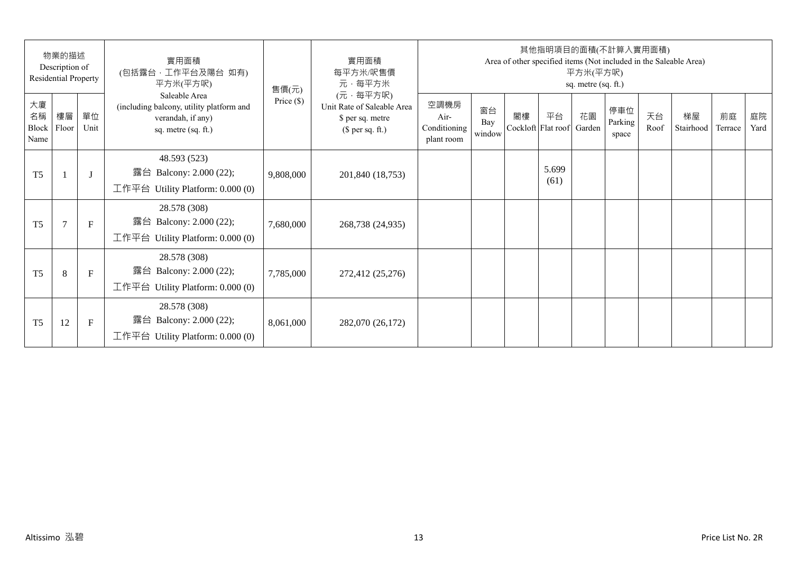| 物業的描述<br>Description of<br>Residential Property |                |              | 實用面積<br>(包括露台,工作平台及陽台 如有)<br>平方米(平方呎)                                                                 | 售價(元)        | 實用面積<br>每平方米/呎售價<br>元·每平方米                                                     | 其他指明項目的面積(不計算入實用面積)<br>Area of other specified items (Not included in the Saleable Area)<br>平方米(平方呎)<br>sq. metre (sq. ft.) |                     |    |                          |              |                         |            |                 |               |            |
|-------------------------------------------------|----------------|--------------|-------------------------------------------------------------------------------------------------------|--------------|--------------------------------------------------------------------------------|-----------------------------------------------------------------------------------------------------------------------------|---------------------|----|--------------------------|--------------|-------------------------|------------|-----------------|---------------|------------|
| 大廈<br>名稱<br>Block<br>Name                       | 樓層<br>Floor    | 單位<br>Unit   | Saleable Area<br>(including balcony, utility platform and<br>verandah, if any)<br>sq. metre (sq. ft.) | Price $(\$)$ | (元·每平方呎)<br>Unit Rate of Saleable Area<br>\$ per sq. metre<br>$$$ per sq. ft.) | 空調機房<br>Air-<br>Conditioning<br>plant room                                                                                  | 窗台<br>Bay<br>window | 閣樓 | 平台<br>Cockloft Flat roof | 花園<br>Garden | 停車位<br>Parking<br>space | 天台<br>Roof | 梯屋<br>Stairhood | 前庭<br>Terrace | 庭院<br>Yard |
| T <sub>5</sub>                                  |                | $\mathbf{J}$ | 48.593 (523)<br>露台 Balcony: 2.000 (22);<br>工作平台 Utility Platform: 0.000 (0)                           | 9,808,000    | 201,840 (18,753)                                                               |                                                                                                                             |                     |    | 5.699<br>(61)            |              |                         |            |                 |               |            |
| T <sub>5</sub>                                  | $\overline{7}$ | $\mathbf{F}$ | 28.578 (308)<br>露台 Balcony: 2.000 (22);<br>工作平台 Utility Platform: $0.000(0)$                          | 7,680,000    | 268,738 (24,935)                                                               |                                                                                                                             |                     |    |                          |              |                         |            |                 |               |            |
| T <sub>5</sub>                                  | 8              | $\mathbf{F}$ | 28.578 (308)<br>露台 Balcony: 2.000 (22);<br>工作平台 Utility Platform: $0.000(0)$                          | 7,785,000    | 272,412 (25,276)                                                               |                                                                                                                             |                     |    |                          |              |                         |            |                 |               |            |
| T <sub>5</sub>                                  | 12             | F            | 28.578 (308)<br>Balcony: 2.000 (22);<br>露台<br>工作平台 Utility Platform: $0.000(0)$                       | 8,061,000    | 282,070 (26,172)                                                               |                                                                                                                             |                     |    |                          |              |                         |            |                 |               |            |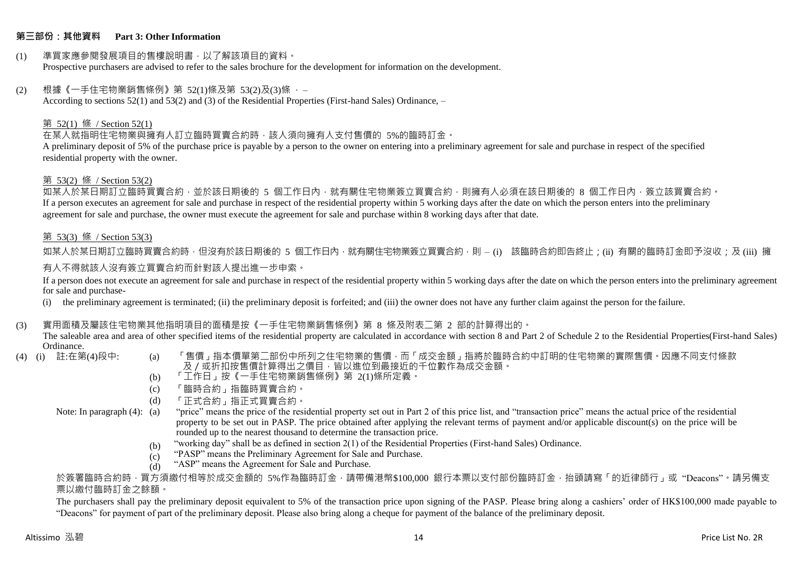#### **第三部份:其他資料 Part 3: Other Information**

#### (1) 準買家應參閱發展項目的售樓說明書,以了解該項目的資料。 Prospective purchasers are advised to refer to the sales brochure for the development for information on the development.

#### $(2)$  根據《一手住宅物業銷售條例》第 52(1)條及第 53(2)及(3)條,

According to sections 52(1) and 53(2) and (3) of the Residential Properties (First-hand Sales) Ordinance, –

#### 第 52(1) 條 / Section 52(1)

在某人就指明住宅物業與擁有人訂立臨時買賣合約時,該人須向擁有人支付售價的 5%的臨時訂金。

A preliminary deposit of 5% of the purchase price is payable by a person to the owner on entering into a preliminary agreement for sale and purchase in respect of the specified residential property with the owner.

#### 第 53(2) 條 / Section 53(2)

如某人於某日期訂立臨時買賣合約,並於該日期後的 5 個工作日內,就有關住宅物業簽立買賣合約,則擁有人必須在該日期後的 8 個工作日內,簽立該買賣合約。 If a person executes an agreement for sale and purchase in respect of the residential property within 5 working days after the date on which the person enters into the preliminary agreement for sale and purchase, the owner must execute the agreement for sale and purchase within 8 working days after that date.

#### 第 53(3) 條 / Section 53(3)

如某人於某日期訂立臨時買賣合約時,但沒有於該日期後的 5 個工作日內,就有關住宅物業簽立買賣合約,則 – (i) 該臨時合約即告終止;(ii) 有關的臨時訂金即予沒收;及 (iii) 擁 有人不得就該人沒有簽立買賣合約而針對該人提出進一步申索。

If a person does not execute an agreement for sale and purchase in respect of the residential property within 5 working days after the date on which the person enters into the preliminary agreement for sale and purchase-

(i) the preliminary agreement is terminated; (ii) the preliminary deposit is forfeited; and (iii) the owner does not have any further claim against the person for the failure.

#### (3) 實用面積及屬該住宅物業其他指明項目的面積是按《一手住宅物業銷售條例》第 8 條及附表二第 2 部的計算得出的。

The saleable area and area of other specified items of the residential property are calculated in accordance with section 8 and Part 2 of Schedule 2 to the Residential Properties(First-hand Sales) Ordinance.<br>(4) (i) 註:在第(4)段中:

- 
- (a) 「售價」指本價單第二部份中所列之住宅物業的售價,而「成交金額」指將於臨時合約中訂明的住宅物業的實際售價。因應不同支付條款 及/或折扣按售價計算得出之價目,皆以進位到最接近的千位數作為成交金額。
- (b) 「工作日」按《一手住宅物業銷售條例》第 2(1)條所定義。
- (c) 「臨時合約」指臨時買賣合約。
- (d) 「正式合約」指正式買賣合約。
- Note: In paragraph (4): (a)
- "price" means the price of the residential property set out in Part 2 of this price list, and "transaction price" means the actual price of the residential property to be set out in PASP. The price obtained after applying the relevant terms of payment and/or applicable discount(s) on the price will be rounded up to the nearest thousand to determine the transaction price.
	- (b) "working day" shall be as defined in section 2(1) of the Residential Properties (First-hand Sales) Ordinance.
	- (c) "PASP" means the Preliminary Agreement for Sale and Purchase.
	- (d) "ASP" means the Agreement for Sale and Purchase.

於簽署臨時合約時,買方須繳付相等於成交金額的 5%作為臨時訂金,請帶備港幣\$100,000 銀行本票以支付部份臨時訂金,抬頭請寫「的近律師行」或"Deacons"。請另備支 票以繳付臨時訂金之餘額。

The purchasers shall pay the preliminary deposit equivalent to 5% of the transaction price upon signing of the PASP. Please bring along a cashiers' order of HK\$100,000 made payable to "Deacons" for payment of part of the preliminary deposit. Please also bring along a cheque for payment of the balance of the preliminary deposit.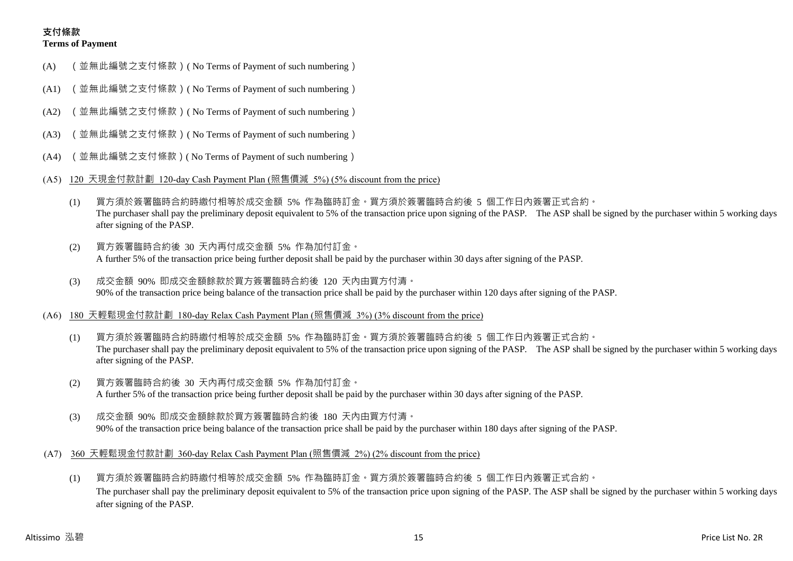## **支付條款 Terms of Payment**

- (A) (並無此編號之支付條款)( No Terms of Payment of such numbering)
- (A1) (並無此編號之支付條款)( No Terms of Payment of such numbering)
- (A2) (並無此編號之支付條款)( No Terms of Payment of such numbering)
- (A3) (並無此編號之支付條款)( No Terms of Payment of such numbering)
- (A4) (並無此編號之支付條款)( No Terms of Payment of such numbering)
- (A5) 120 天現金付款計劃 120-day Cash Payment Plan (照售價減 5%) (5% discount from the price)
	- (1) 買方須於簽署臨時合約時繳付相等於成交金額 5% 作為臨時訂金。買方須於簽署臨時合約後 5 個工作日內簽署正式合約。 The purchaser shall pay the preliminary deposit equivalent to 5% of the transaction price upon signing of the PASP. The ASP shall be signed by the purchaser within 5 working days after signing of the PASP.
	- (2) 買方簽署臨時合約後 30 天內再付成交金額 5% 作為加付訂金。 A further 5% of the transaction price being further deposit shall be paid by the purchaser within 30 days after signing of the PASP.
	- (3) 成交金額 90% 即成交金額餘款於買方簽署臨時合約後 120 天內由買方付清。 90% of the transaction price being balance of the transaction price shall be paid by the purchaser within 120 days after signing of the PASP.
- (A6) 180 天輕鬆現金付款計劃 180-day Relax Cash Payment Plan (照售價減 3%) (3% discount from the price)
	- (1) 買方須於簽署臨時合約時繳付相等於成交金額 5% 作為臨時訂金。買方須於簽署臨時合約後 5 個工作日內簽署正式合約。 The purchaser shall pay the preliminary deposit equivalent to 5% of the transaction price upon signing of the PASP. The ASP shall be signed by the purchaser within 5 working days after signing of the PASP.
	- (2) 買方簽署臨時合約後 30 天內再付成交金額 5% 作為加付訂金。 A further 5% of the transaction price being further deposit shall be paid by the purchaser within 30 days after signing of the PASP.
	- (3) 成交金額 90% 即成交金額餘款於買方簽署臨時合約後 180 天內由買方付清。 90% of the transaction price being balance of the transaction price shall be paid by the purchaser within 180 days after signing of the PASP.
- (A7) 360 天輕鬆現金付款計劃 360-day Relax Cash Payment Plan (照售價減 2%) (2% discount from the price)
	- (1) 買方須於簽署臨時合約時繳付相等於成交金額 5% 作為臨時訂金。買方須於簽署臨時合約後 5 個工作日內簽署正式合約。 The purchaser shall pay the preliminary deposit equivalent to 5% of the transaction price upon signing of the PASP. The ASP shall be signed by the purchaser within 5 working days after signing of the PASP.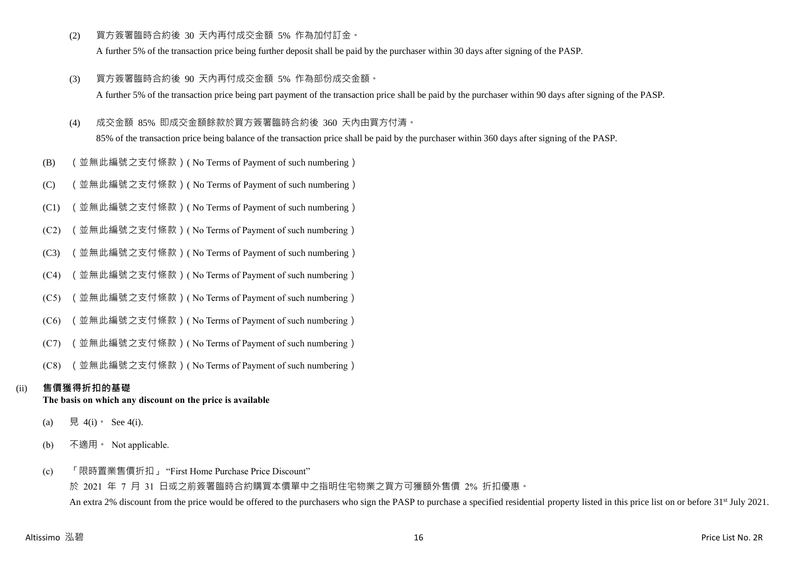(2) 買方簽署臨時合約後 30 天內再付成交金額 5% 作為加付訂金。

A further 5% of the transaction price being further deposit shall be paid by the purchaser within 30 days after signing of the PASP.

- (3) 買方簽署臨時合約後 90 天內再付成交金額 5% 作為部份成交金額。 A further 5% of the transaction price being part payment of the transaction price shall be paid by the purchaser within 90 days after signing of the PASP.
- (4) 成交金額 85% 即成交金額餘款於買方簽署臨時合約後 360 天內由買方付清。

85% of the transaction price being balance of the transaction price shall be paid by the purchaser within 360 days after signing of the PASP.

- (B) (並無此編號之支付條款)( No Terms of Payment of such numbering)
- (C) (並無此編號之支付條款)( No Terms of Payment of such numbering)
- (C1) (並無此編號之支付條款)( No Terms of Payment of such numbering)
- (C2) (並無此編號之支付條款)( No Terms of Payment of such numbering)
- (C3) (並無此編號之支付條款)( No Terms of Payment of such numbering)
- (C4) (並無此編號之支付條款)( No Terms of Payment of such numbering)
- (C5) (並無此編號之支付條款)( No Terms of Payment of such numbering)
- (C6) (並無此編號之支付條款)( No Terms of Payment of such numbering)
- (C7) (並無此編號之支付條款)( No Terms of Payment of such numbering)
- (C8) (並無此編號之支付條款)( No Terms of Payment of such numbering)

# (ii) **售價獲得折扣的基礎**

## **The basis on which any discount on the price is available**

- (a) 見 4(i) See 4(i).
- (b) 不適用。 Not applicable.
- (c) 「限時置業售價折扣」 "First Home Purchase Price Discount"

於 2021 年 7 月 31 日或之前簽署臨時合約購買本價單中之指明住宅物業之買方可獲額外售價 2% 折扣優惠。 An extra 2% discount from the price would be offered to the purchasers who sign the PASP to purchase a specified residential property listed in this price list on or before 31<sup>st</sup> July 2021.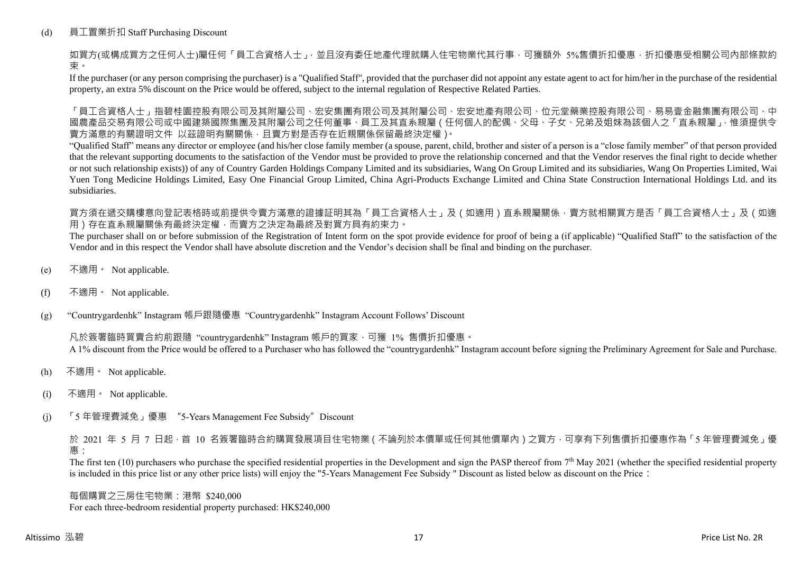## (d) 員工置業折扣 Staff Purchasing Discount

如買方(或構成買方之任何人士)屬任何「員工合資格人士」,並且沒有委任地產代理就購入住宅物業代其行事,可獲額外 5%售價折扣優惠,折扣優惠受相關公司內部條款約 束。

If the purchaser (or any person comprising the purchaser) is a "Qualified Staff", provided that the purchaser did not appoint any estate agent to act for him/her in the purchase of the residential property, an extra 5% discount on the Price would be offered, subject to the internal regulation of Respective Related Parties.

「員工合資格人士」指碧桂園控股有限公司及其附屬公司、宏安集團有限公司及其附屬公司、宏安地產有限公司、位元堂藥業控股有限公司、易易壹金融集團有限公司、中 國農產品交易有限公司或中國建築國際集團及其附屬公司之任何董事、員工及其直系親屬(任何個人的配偶、父母、子女、兄弟及姐妹為該個人之「直系親屬」,惟須提供令 賣方滿意的有關證明文件 以茲證明有關關係,且賣方對是否存在近親關係保留最終決定權)。

"Qualified Staff" means any director or employee (and his/her close family member (a spouse, parent, child, brother and sister of a person is a "close family member" of that person provided that the relevant supporting documents to the satisfaction of the Vendor must be provided to prove the relationship concerned and that the Vendor reserves the final right to decide whether or not such relationship exists)) of any of Country Garden Holdings Company Limited and its subsidiaries, Wang On Group Limited and its subsidiaries, Wang On Properties Limited, Wai Yuen Tong Medicine Holdings Limited, Easy One Financial Group Limited, China Agri-Products Exchange Limited and China State Construction International Holdings Ltd. and its subsidiaries.

買方須在遞交購樓意向登記表格時或前提供令賣方滿意的證據証明其為「員工合資格人士」及(如適用)直系親屬關係,賣方就相關買方是否「員工合資格人士」及(如適 用)存在直系親屬關係有最終決定權,而賣方之決定為最終及對買方具有約束力。

The purchaser shall on or before submission of the Registration of Intent form on the spot provide evidence for proof of being a (if applicable) "Qualified Staff" to the satisfaction of the Vendor and in this respect the Vendor shall have absolute discretion and the Vendor's decision shall be final and binding on the purchaser.

- (e) 不適用。 Not applicable.
- (f) 不適用。 Not applicable.

(g) "Countrygardenhk" Instagram 帳戶跟隨優惠 "Countrygardenhk" Instagram Account Follows' Discount

凡於簽署臨時買賣合約前跟隨 "countrygardenhk" Instagram 帳戶的買家,可獲 1% 售價折扣優惠。 A 1% discount from the Price would be offered to a Purchaser who has followed the "countrygardenhk" Instagram account before signing the Preliminary Agreement for Sale and Purchase.

- (h) 不適用。 Not applicable.
- (i) 不適用。 Not applicable.
- (j) 「5 年管理費減免」優惠 "5-Years Management Fee Subsidy"Discount

於 2021 年 5 月 7 日起,首 10 名簽署臨時合約購買發展項目住宅物業 ( 不論列於本價單或任何其他價單內 ) 之買方, 可享有下列售價折扣優惠作為 「5 年管理費減免」優 惠:

The first ten  $(10)$  purchasers who purchase the specified residential properties in the Development and sign the PASP thereof from  $7<sup>th</sup>$  May 2021 (whether the specified residential property is included in this price list or any other price lists) will enjoy the "5-Years Management Fee Subsidy " Discount as listed below as discount on the Price:

每個購買之三房住宅物業:港幣 \$240,000 For each three-bedroom residential property purchased: HK\$240,000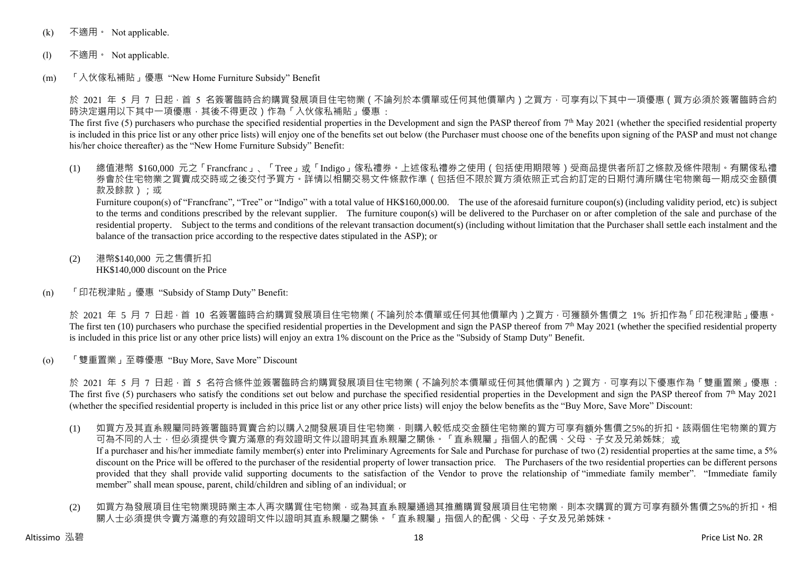- (k) 不適用 · Not applicable.
- (l) 不適用。 Not applicable.
- (m) 「入伙傢私補貼」優惠 "New Home Furniture Subsidy" Benefit

於 2021 年 5 月 7 日起 · 首 5 名簽署臨時合約購買發展項目住宅物業 ( 不論列於本價單或任何其他價單內 ) 之買方 · 可享有以下其中一項優惠 ( 買方必須於簽署臨時合約 時決定選用以下其中一項優惠,其後不得更改)作為「入伙傢私補貼」優惠:

The first five (5) purchasers who purchase the specified residential properties in the Development and sign the PASP thereof from  $7<sup>th</sup>$  May 2021 (whether the specified residential property is included in this price list or any other price lists) will enjoy one of the benefits set out below (the Purchaser must choose one of the benefits upon signing of the PASP and must not change his/her choice thereafter) as the "New Home Furniture Subsidy" Benefit:

(1) 總值港幣 \$160,000 元之「Francfranc」、「Tree」或「Indigo」傢私禮券。上述傢私禮券之使用(包括使用期限等)受商品提供者所訂之條款及條件限制。有關傢私禮 券會於住宅物業之買賣成交時或之後交付予買方。詳情以相關交易文件條款作準(包括但不限於買方須依照正式合約訂定的日期付清所購住宅物業每一期成交金額價 款及餘款);或

Furniture coupon(s) of "Francfranc", "Tree" or "Indigo" with a total value of HK\$160,000.00. The use of the aforesaid furniture coupon(s) (including validity period, etc) is subject to the terms and conditions prescribed by the relevant supplier. The furniture coupon(s) will be delivered to the Purchaser on or after completion of the sale and purchase of the residential property. Subject to the terms and conditions of the relevant transaction document(s) (including without limitation that the Purchaser shall settle each instalment and the balance of the transaction price according to the respective dates stipulated in the ASP); or

- (2) 港幣\$140,000 元之售價折扣 HK\$140,000 discount on the Price
- (n) 「印花稅津貼」優惠 "Subsidy of Stamp Duty" Benefit:

於 2021 年 5 月 7 日起,首 10 名簽署臨時合約購買發展項目住宅物業(不論列於本價單或任何其他價單內)之買方,可獲額外售價之 1% 折扣作為「印花稅津貼」優惠。 The first ten (10) purchasers who purchase the specified residential properties in the Development and sign the PASP thereof from  $7<sup>th</sup>$  May 2021 (whether the specified residential property is included in this price list or any other price lists) will enjoy an extra 1% discount on the Price as the "Subsidy of Stamp Duty" Benefit.

(o) 「雙重置業」至尊優惠 "Buy More, Save More" Discount

於 2021 年 5 月 7 日起,首 5 名符合條件並簽署臨時合約購買發展項目住宅物業 ( 不論列於本價單或任何其他價單內 ) 之買方,可享有以下優惠作為「雙重置業」優惠 : The first five (5) purchasers who satisfy the conditions set out below and purchase the specified residential properties in the Development and sign the PASP thereof from  $7<sup>th</sup>$  May 2021 (whether the specified residential property is included in this price list or any other price lists) will enjoy the below benefits as the "Buy More, Save More" Discount:

- (1) 如買方及其直系親屬同時簽署臨時買賣合約以購入2間發展項目住宅物業,則購入較低成交金額住宅物業的買方可享有額外售價之5%的折扣。該兩個住宅物業的買方 可為不同的人士,但必須提供令賣方滿意的有效證明文件以證明其直系親屬之關係。「直系親屬」指個人的配偶、父母、子女及兄弟姊妹;或 If a purchaser and his/her immediate family member(s) enter into Preliminary Agreements for Sale and Purchase for purchase of two (2) residential properties at the same time, a 5% discount on the Price will be offered to the purchaser of the residential property of lower transaction price. The Purchasers of the two residential properties can be different persons provided that they shall provide valid supporting documents to the satisfaction of the Vendor to prove the relationship of "immediate family member". "Immediate family member" shall mean spouse, parent, child/children and sibling of an individual; or
- (2) 如買方為發展項目住宅物業現時業主本人再次購買住宅物業,或為其直系親屬通過其推薦購買發展項目住宅物業,則本次購買的買方可享有額外售價之5%的折扣。相 關人士必須提供令賣方滿意的有效證明文件以證明其直系親屬之關係。「直系親屬」指個人的配偶、父母、子女及兄弟姊妹。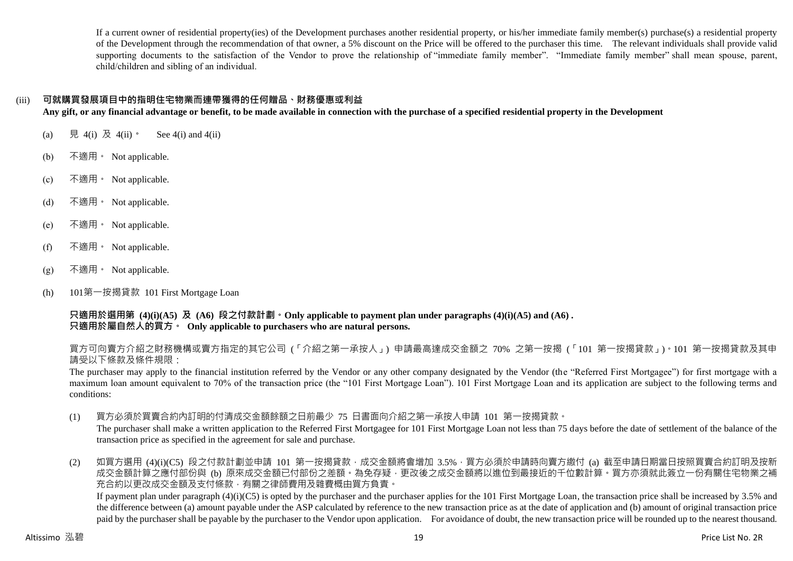If a current owner of residential property(ies) of the Development purchases another residential property, or his/her immediate family member(s) purchase(s) a residential property of the Development through the recommendation of that owner, a 5% discount on the Price will be offered to the purchaser this time. The relevant individuals shall provide valid supporting documents to the satisfaction of the Vendor to prove the relationship of "immediate family member". "Immediate family member" shall mean spouse, parent, child/children and sibling of an individual.

## (iii) **可就購買發展項目中的指明住宅物業而連帶獲得的任何贈品、財務優惠或利益**

**Any gift, or any financial advantage or benefit, to be made available in connection with the purchase of a specified residential property in the Development**

- (a) 見 4(i) 及 4(ii)。 See 4(i) and 4(ii)
- (b) 不適用。 Not applicable.
- (c) 不適用。 Not applicable.
- (d) 不適用。 Not applicable.
- (e) 不適用。 Not applicable.
- (f) 不適用 Not applicable.
- (g) 不適用。 Not applicable.
- (h) 101第一按揭貸款 101 First Mortgage Loan

**只適用於選用第 (4)(i)(A5) 及 (A6) 段之付款計劃。Only applicable to payment plan under paragraphs (4)(i)(A5) and (A6) . 只適用於屬自然人的買方。 Only applicable to purchasers who are natural persons.**

買方可向賣方介紹之財務機構或賣方指定的其它公司 (「介紹之第一承按人」) 申請最高達成交金額之 70% 之第一按揭 (「101 第一按揭貸款」)。101 第一按揭貸款及其申 請受以下條款及條件規限:

The purchaser may apply to the financial institution referred by the Vendor or any other company designated by the Vendor (the "Referred First Mortgagee") for first mortgage with a maximum loan amount equivalent to 70% of the transaction price (the "101 First Mortgage Loan"). 101 First Mortgage Loan and its application are subject to the following terms and conditions:

(1) 買方必須於買賣合約內訂明的付清成交金額餘額之日前最少 75 日書面向介紹之第一承按人申請 101 第一按揭貸款。

The purchaser shall make a written application to the Referred First Mortgagee for 101 First Mortgage Loan not less than 75 days before the date of settlement of the balance of the transaction price as specified in the agreement for sale and purchase.

(2) 如買方選用 (4)(i)(C5) 段之付款計劃並申請 101 第一按揭貸款,成交金額將會增加 3.5%,買方必須於申請時向賣方繳付 (a) 截至申請日期當日按照買賣合約訂明及按新 成交金額計算之應付部份與 (b) 原來成交金額已付部份之差額。為免存疑,更改後之成交金額將以進位到最接近的千位數計算。買方亦須就此簽立一份有關住宅物業之補 充合約以更改成交金額及支付條款,有關之律師費用及雜費概由買方負責。 If payment plan under paragraph  $(4)(i)(C5)$  is opted by the purchaser and the purchaser applies for the 101 First Mortgage Loan, the transaction price shall be increased by 3.5% and

the difference between (a) amount payable under the ASP calculated by reference to the new transaction price as at the date of application and (b) amount of original transaction price paid by the purchaser shall be payable by the purchaser to the Vendor upon application. For avoidance of doubt, the new transaction price will be rounded up to the nearest thousand.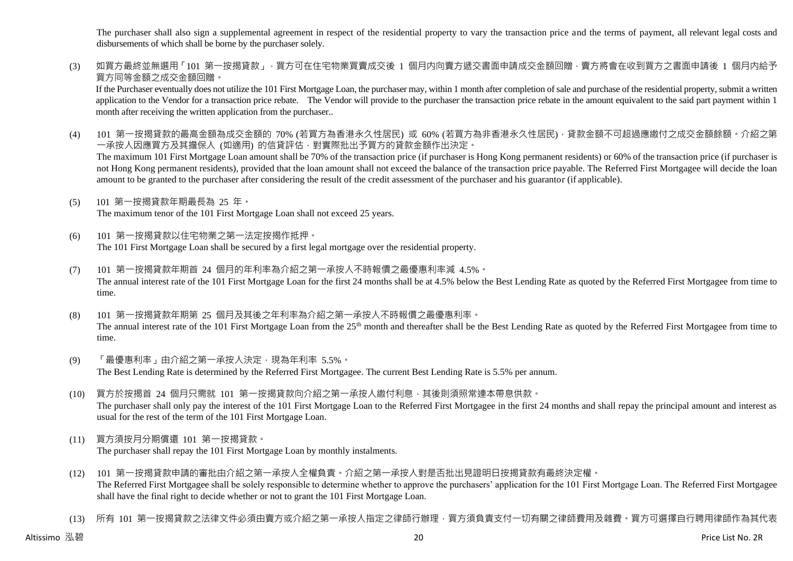The purchaser shall also sign a supplemental agreement in respect of the residential property to vary the transaction price and the terms of payment, all relevant legal costs and disbursements of which shall be borne by the purchaser solely.

(3) 如買方最終並無選用「101 第一按揭貸款」,買方可在住宅物業買賣成交後 1 個月内向賣方遞交書面申請成交金額回贈,賣方將會在收到買方之書面申請後 1 個月内給予 買方同等金額之成交金額回贈。

If the Purchaser eventually does not utilize the 101 First Mortgage Loan, the purchaser may, within 1 month after completion of sale and purchase of the residential property, submit a written application to the Vendor for a transaction price rebate. The Vendor will provide to the purchaser the transaction price rebate in the amount equivalent to the said part payment within 1 month after receiving the written application from the purchaser..

(4) 101 第一按揭貸款的最高金額為成交金額的 70% (若買方為香港永久性居民) 或 60% (若買方為非香港永久性居民),貸款金額不可超過應繳付之成交金額餘額。介紹之第 一承按人因應買方及其擔保人 (如適用) 的信貸評估,對實際批出予買方的貸款金額作出決定。

The maximum 101 First Mortgage Loan amount shall be 70% of the transaction price (if purchaser is Hong Kong permanent residents) or 60% of the transaction price (if purchaser is not Hong Kong permanent residents), provided that the loan amount shall not exceed the balance of the transaction price payable. The Referred First Mortgagee will decide the loan amount to be granted to the purchaser after considering the result of the credit assessment of the purchaser and his guarantor (if applicable).

- (5) 101 第一按揭貸款年期最長為 25 年。 The maximum tenor of the 101 First Mortgage Loan shall not exceed 25 years.
- (6) 101 第一按揭貸款以住宅物業之第一法定按揭作抵押。 The 101 First Mortgage Loan shall be secured by a first legal mortgage over the residential property.
- (7) 101 第一按揭貸款年期首 24 個月的年利率為介紹之第一承按人不時報價之最優惠利率減 4.5%。 The annual interest rate of the 101 First Mortgage Loan for the first 24 months shall be at 4.5% below the Best Lending Rate as quoted by the Referred First Mortgagee from time to time.
- (8) 101 第一按揭貸款年期第 25 個月及其後之年利率為介紹之第一承按人不時報價之最優惠利率。 The annual interest rate of the 101 First Mortgage Loan from the 25<sup>th</sup> month and thereafter shall be the Best Lending Rate as quoted by the Referred First Mortgagee from time to time.
- (9) 「最優惠利率」由介紹之第一承按人決定,現為年利率 5.5%。 The Best Lending Rate is determined by the Referred First Mortgagee. The current Best Lending Rate is 5.5% per annum.
- (10) 買方於按揭首 24 個月只需就 101 第一按揭貸款向介紹之第一承按人繳付利息,其後則須照常連本帶息供款。 The purchaser shall only pay the interest of the 101 First Mortgage Loan to the Referred First Mortgagee in the first 24 months and shall repay the principal amount and interest as usual for the rest of the term of the 101 First Mortgage Loan.
- (11) 買方須按月分期償還 101 第一按揭貸款。 The purchaser shall repay the 101 First Mortgage Loan by monthly instalments.
- (12) 101 第一按揭貸款申請的審批由介紹之第一承按人全權負責。介紹之第一承按人對是否批出見證明日按揭貸款有最終決定權。 The Referred First Mortgagee shall be solely responsible to determine whether to approve the purchasers' application for the 101 First Mortgage Loan. The Referred First Mortgagee shall have the final right to decide whether or not to grant the 101 First Mortgage Loan.
- (13) 所有 101 第一按揭貸款之法律文件必須由賣方或介紹之第一承按人指定之律師行辦理,買方須負責支付一切有關之律師費用及雜費。買方可選擇自行聘用律師作為其代表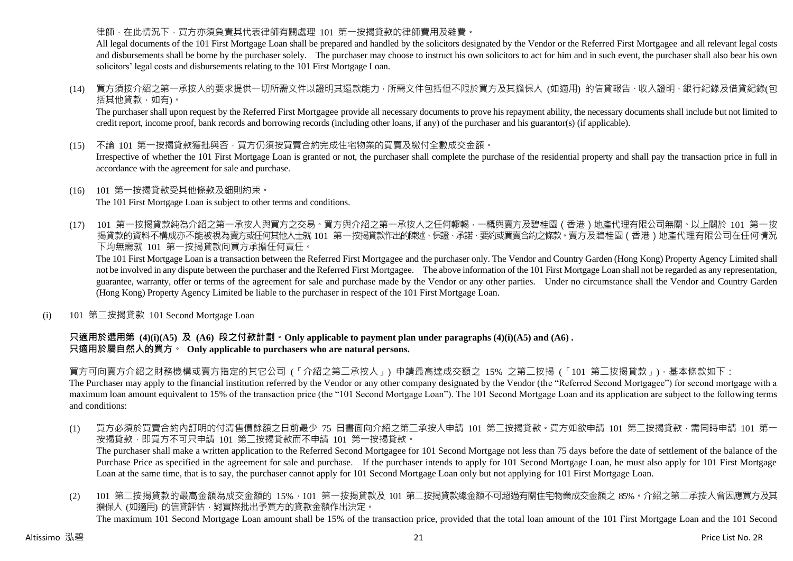#### 律師,在此情況下,買方亦須負責其代表律師有關處理 101 第一按揭貸款的律師費用及雜費。

All legal documents of the 101 First Mortgage Loan shall be prepared and handled by the solicitors designated by the Vendor or the Referred First Mortgagee and all relevant legal costs and disbursements shall be borne by the purchaser solely. The purchaser may choose to instruct his own solicitors to act for him and in such event, the purchaser shall also bear his own solicitors' legal costs and disbursements relating to the 101 First Mortgage Loan.

(14) 買方須按介紹之第一承按人的要求提供一切所需文件以證明其還款能力,所需文件包括但不限於買方及其擔保人 (如適用) 的信貸報告、收入證明、銀行紀錄及借貸紀錄(包 括其他貸款,如有)。

The purchaser shall upon request by the Referred First Mortgagee provide all necessary documents to prove his repayment ability, the necessary documents shall include but not limited to credit report, income proof, bank records and borrowing records (including other loans, if any) of the purchaser and his guarantor(s) (if applicable).

(15) 不論 101 第一按揭貸款獲批與否,買方仍須按買賣合約完成住宅物業的買賣及繳付全數成交金額。

Irrespective of whether the 101 First Mortgage Loan is granted or not, the purchaser shall complete the purchase of the residential property and shall pay the transaction price in full in accordance with the agreement for sale and purchase.

- (16) 101 第一按揭貸款受其他條款及細則約束。 The 101 First Mortgage Loan is subject to other terms and conditions.
- (17) 101 第一按揭貸款純為介紹之第一承按人與買方之交易。買方與介紹之第一承按人之任何轇輵,一概與賣方及碧桂園(香港)地產代理有限公司無關。以上關於 101 第一按 揭貸款的資料不構成亦不能被視為賣方或任何其他人士就 101 第一按揭貸款作出的陳述、保證、承諾、要約或買賣合約之條款。賣方及碧桂園(香港)地產代理有限公司在任何情況 下均無需就 101 第一按揭貸款向買方承擔任何責任。

The 101 First Mortgage Loan is a transaction between the Referred First Mortgagee and the purchaser only. The Vendor and Country Garden (Hong Kong) Property Agency Limited shall not be involved in any dispute between the purchaser and the Referred First Mortgagee. The above information of the 101 First Mortgage Loan shall not be regarded as any representation, guarantee, warranty, offer or terms of the agreement for sale and purchase made by the Vendor or any other parties. Under no circumstance shall the Vendor and Country Garden (Hong Kong) Property Agency Limited be liable to the purchaser in respect of the 101 First Mortgage Loan.

(i) 101 第二按揭貸款 101 Second Mortgage Loan

## **只適用於選用第 (4)(i)(A5) 及 (A6) 段之付款計劃。Only applicable to payment plan under paragraphs (4)(i)(A5) and (A6) . 只適用於屬自然人的買方。 Only applicable to purchasers who are natural persons.**

買方可向賣方介紹之財務機構或賣方指定的其它公司 (「介紹之第二承按人」) 申請最高達成交額之 15% 之第二按揭 (「101 第二按揭貸款」),基本條款如下:

The Purchaser may apply to the financial institution referred by the Vendor or any other company designated by the Vendor (the "Referred Second Mortgagee") for second mortgage with a maximum loan amount equivalent to 15% of the transaction price (the "101 Second Mortgage Loan"). The 101 Second Mortgage Loan and its application are subject to the following terms and conditions:

(1) 買方必須於買賣合約內訂明的付清售價餘額之日前最少 75 日書面向介紹之第二承按人申請 101 第二按揭貸款。買方如欲申請 101 第二按揭貸款,需同時申請 101 第一 按揭貸款,即買方不可只申請 101 第二按揭貸款而不申請 101 第一按揭貸款。

The purchaser shall make a written application to the Referred Second Mortgagee for 101 Second Mortgage not less than 75 days before the date of settlement of the balance of the Purchase Price as specified in the agreement for sale and purchase. If the purchaser intends to apply for 101 Second Mortgage Loan, he must also apply for 101 First Mortgage Loan at the same time, that is to say, the purchaser cannot apply for 101 Second Mortgage Loan only but not applying for 101 First Mortgage Loan.

(2) 101 第二按揭貸款的最高金額為成交金額的 15%,101 第一按揭貸款及 101 第二按揭貸款總金額不可超過有關住宅物業成交金額之 85%。介紹之第二承按人會因應買方及其 擔保人 (如適用) 的信貸評估,對實際批出予買方的貸款金額作出決定。 The maximum 101 Second Mortgage Loan amount shall be 15% of the transaction price, provided that the total loan amount of the 101 First Mortgage Loan and the 101 Second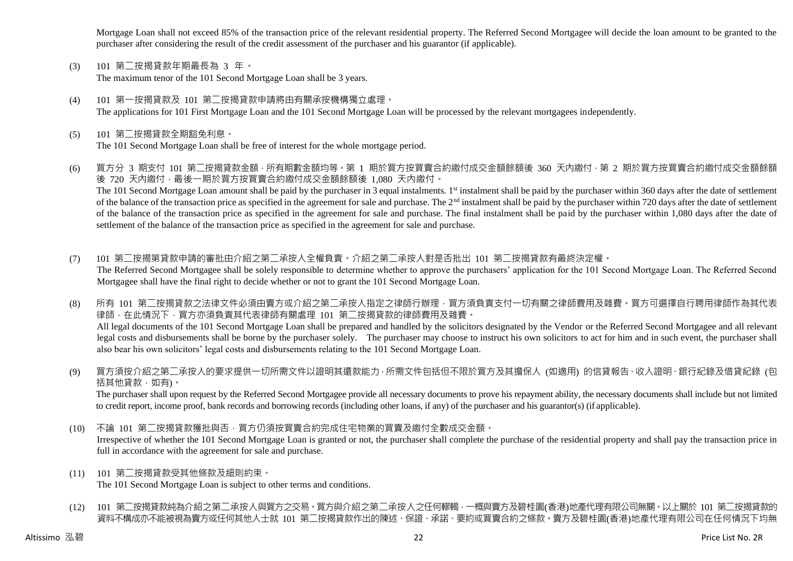Mortgage Loan shall not exceed 85% of the transaction price of the relevant residential property. The Referred Second Mortgagee will decide the loan amount to be granted to the purchaser after considering the result of the credit assessment of the purchaser and his guarantor (if applicable).

- (3) 101 第二按揭貸款年期最長為 3 年。 The maximum tenor of the 101 Second Mortgage Loan shall be 3 years.
- (4) 101 第一按揭貸款及 101 第二按揭貸款申請將由有關承按機構獨立處理。 The applications for 101 First Mortgage Loan and the 101 Second Mortgage Loan will be processed by the relevant mortgagees independently.
- (5) 101 第二按揭貸款全期豁免利息。 The 101 Second Mortgage Loan shall be free of interest for the whole mortgage period.
- (6) 買方分 3 期支付 101 第二按揭貸款金額,所有期數金額均等。第 1 期於買方按買賣合約繳付成交金額餘額後 360 天內繳付,第 2 期於買方按買賣合約繳付成交金額餘額 後 720 天內繳付,最後一期於買方按買賣合約繳付成交金額餘額後 1,080 天內繳付。 The 101 Second Mortgage Loan amount shall be paid by the purchaser in 3 equal instalments. 1<sup>st</sup> instalment shall be paid by the purchaser within 360 days after the date of settlement of the balance of the transaction price as specified in the agreement for sale and purchase. The 2<sup>nd</sup> instalment shall be paid by the purchaser within 720 days after the date of settlement of the balance of the transaction price as specified in the agreement for sale and purchase. The final instalment shall be paid by the purchaser within 1,080 days after the date of settlement of the balance of the transaction price as specified in the agreement for sale and purchase.
- (7) 101 第二按揭第貸款申請的審批由介紹之第二承按人全權負責。介紹之第二承按人對是否批出 101 第二按揭貸款有最終決定權。 The Referred Second Mortgagee shall be solely responsible to determine whether to approve the purchasers' application for the 101 Second Mortgage Loan. The Referred Second Mortgagee shall have the final right to decide whether or not to grant the 101 Second Mortgage Loan.
- (8) 所有 101 第二按揭貸款之法律文件必須由賣方或介紹之第二承按人指定之律師行辦理,買方須負責支付一切有關之律師費用及雜費。買方可選擇自行聘用律師作為其代表 律師,在此情況下,買方亦須負責其代表律師有關處理 101 第二按揭貸款的律師費用及雜費。 All legal documents of the 101 Second Mortgage Loan shall be prepared and handled by the solicitors designated by the Vendor or the Referred Second Mortgagee and all relevant legal costs and disbursements shall be borne by the purchaser solely. The purchaser may choose to instruct his own solicitors to act for him and in such event, the purchaser shall also bear his own solicitors' legal costs and disbursements relating to the 101 Second Mortgage Loan.
- (9) 買方須按介紹之第二承按人的要求提供一切所需文件以證明其還款能力,所需文件包括但不限於買方及其擔保人 (如適用) 的信貸報告、收入證明、銀行紀錄及借貸紀錄 (包 括其他貸款,如有)。

The purchaser shall upon request by the Referred Second Mortgagee provide all necessary documents to prove his repayment ability, the necessary documents shall include but not limited to credit report, income proof, bank records and borrowing records (including other loans, if any) of the purchaser and his guarantor(s) (if applicable).

(10) 不論 101 第二按揭貸款獲批與否,買方仍須按買賣合約完成住宅物業的買賣及繳付全數成交金額。

Irrespective of whether the 101 Second Mortgage Loan is granted or not, the purchaser shall complete the purchase of the residential property and shall pay the transaction price in full in accordance with the agreement for sale and purchase.

- (11) 101 第二按揭貸款受其他條款及細則約束。 The 101 Second Mortgage Loan is subject to other terms and conditions.
- (12) 101 第二按揭貸款純為介紹之第二承按人與買方之交易。買方與介紹之第二承按人之任何轇輵,一概與賣方及碧桂園(香港)地產代理有限公司無關。以上關於 101 第二按揭貸款的 資料不構成亦不能被視為賣方或任何其他人士就 101 第二按揭貸款作出的陳述、保證、承諾、要約或買賣合約之條款。賣方及碧桂園(香港)地產代理有限公司在任何情況下均無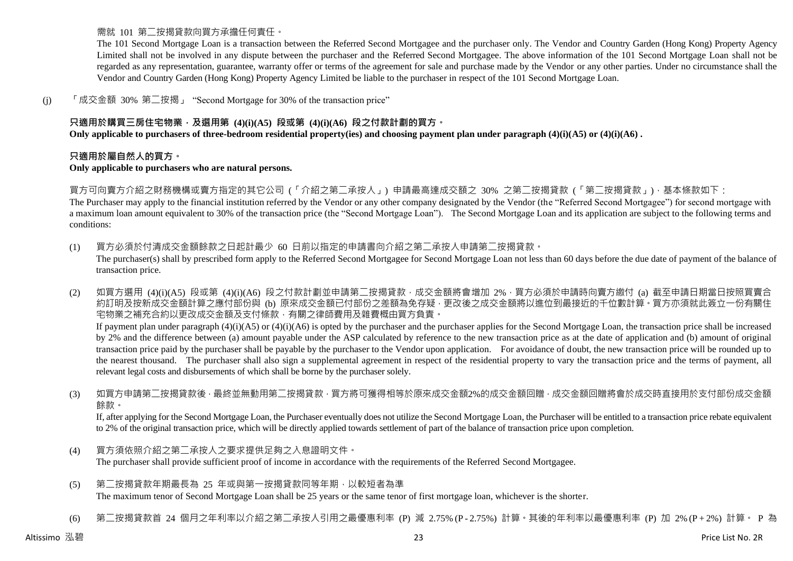需就 101 第二按揭貸款向買方承擔任何責任。

The 101 Second Mortgage Loan is a transaction between the Referred Second Mortgagee and the purchaser only. The Vendor and Country Garden (Hong Kong) Property Agency Limited shall not be involved in any dispute between the purchaser and the Referred Second Mortgagee. The above information of the 101 Second Mortgage Loan shall not be regarded as any representation, guarantee, warranty offer or terms of the agreement for sale and purchase made by the Vendor or any other parties. Under no circumstance shall the Vendor and Country Garden (Hong Kong) Property Agency Limited be liable to the purchaser in respect of the 101 Second Mortgage Loan.

(j) 「成交金額 30% 第二按揭」 "Second Mortgage for 30% of the transaction price"

## **只適用於購買三房住宅物業,及選用第 (4)(i)(A5) 段或第 (4)(i)(A6) 段之付款計劃的買方。**

**Only applicable to purchasers of three-bedroom residential property(ies) and choosing payment plan under paragraph (4)(i)(A5) or (4)(i)(A6) .**

#### **只適用於屬自然人的買方。**

#### **Only applicable to purchasers who are natural persons.**

買方可向賣方介紹之財務機構或賣方指定的其它公司 (「介紹之第二承按人」) 申請最高達成交額之 30% 之第二按揭貸款 (「第二按揭貸款」), 基本條款如下:

The Purchaser may apply to the financial institution referred by the Vendor or any other company designated by the Vendor (the "Referred Second Mortgagee") for second mortgage with a maximum loan amount equivalent to 30% of the transaction price (the "Second Mortgage Loan"). The Second Mortgage Loan and its application are subject to the following terms and conditions:

(1) 買方必須於付清成交金額餘款之日起計最少 60 日前以指定的申請書向介紹之第二承按人申請第二按揭貸款。 The purchaser(s) shall by prescribed form apply to the Referred Second Mortgagee for Second Mortgage Loan not less than 60 days before the due date of payment of the balance of transaction price.

(2) 如買方選用 (4)(i)(A5) 段或第 (4)(i)(A6) 段之付款計劃並申請第二按揭貸款,成交金額將會增加 2%,買方必須於申請時向賣方繳付 (a) 截至申請日期當日按照買賣合 約訂明及按新成交金額計算之應付部份與 (b) 原來成交金額已付部份之差額為免存疑 · 更改後之成交金額將以進位到最接近的千位數計算 · 買方亦須就此簽立一份有關住 宅物業之補充合約以更改成交金額及支付條款,有關之律師費用及雜費概由買方負責。

If payment plan under paragraph  $(4)(i)(A5)$  or  $(4)(i)(A6)$  is opted by the purchaser and the purchaser applies for the Second Mortgage Loan, the transaction price shall be increased by 2% and the difference between (a) amount payable under the ASP calculated by reference to the new transaction price as at the date of application and (b) amount of original transaction price paid by the purchaser shall be payable by the purchaser to the Vendor upon application. For avoidance of doubt, the new transaction price will be rounded up to the nearest thousand. The purchaser shall also sign a supplemental agreement in respect of the residential property to vary the transaction price and the terms of payment, all relevant legal costs and disbursements of which shall be borne by the purchaser solely.

(3) 如買方申請第二按揭貸款後 · 最終並無動用第二按揭貸款 · 買方將可獲得相等於原來成交金額2%的成交金額回贈 · 成交金額回贈將會於成交時直接用於支付部份成交金額 餘款。

If, after applying for the Second Mortgage Loan, the Purchaser eventually does not utilize the Second Mortgage Loan, the Purchaser will be entitled to a transaction price rebate equivalent to 2% of the original transaction price, which will be directly applied towards settlement of part of the balance of transaction price upon completion.

- (4) 買方須依照介紹之第二承按人之要求提供足夠之入息證明文件。 The purchaser shall provide sufficient proof of income in accordance with the requirements of the Referred Second Mortgagee.
- (5) 第二按揭貸款年期最長為 25 年或與第一按揭貸款同等年期,以較短者為準 The maximum tenor of Second Mortgage Loan shall be 25 years or the same tenor of first mortgage loan, whichever is the shorter.
- (6) 第二按揭貸款首 24 個月之年利率以介紹之第二承按人引用之最優惠利率 (P) 減 2.75% (P 2.75%) 計算。其後的年利率以最優惠利率 (P) 加 2% (P + 2%) 計算。 P 為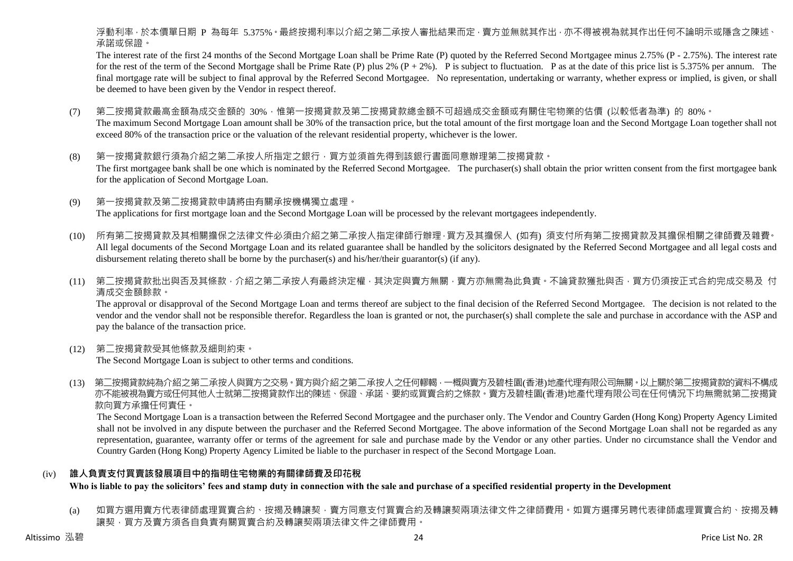浮動利率,於本價單日期 P 為每年 5.375%。最終按揭利率以介紹之第二承按人審批結果而定,賣方並無就其作出,亦不得被視為就其作出任何不論明示或隱含之陳述、 承諾或保證。

The interest rate of the first 24 months of the Second Mortgage Loan shall be Prime Rate (P) quoted by the Referred Second Mortgagee minus 2.75% (P - 2.75%). The interest rate for the rest of the term of the Second Mortgage shall be Prime Rate (P) plus 2%  $(P + 2\%)$ . P is subject to fluctuation. P as at the date of this price list is 5.375% per annum. The final mortgage rate will be subject to final approval by the Referred Second Mortgagee. No representation, undertaking or warranty, whether express or implied, is given, or shall be deemed to have been given by the Vendor in respect thereof.

- (7) 第二按揭貸款最高金額為成交金額的 30%,惟第一按揭貸款及第二按揭貸款總金額不可超過成交金額或有關住宅物業的估價 (以較低者為準) 的 80%。 The maximum Second Mortgage Loan amount shall be 30% of the transaction price, but the total amount of the first mortgage loan and the Second Mortgage Loan together shall not exceed 80% of the transaction price or the valuation of the relevant residential property, whichever is the lower.
- (8) 第一按揭貸款銀行須為介紹之第二承按人所指定之銀行,買方並須首先得到該銀行書面同意辦理第二按揭貸款。 The first mortgagee bank shall be one which is nominated by the Referred Second Mortgagee. The purchaser(s) shall obtain the prior written consent from the first mortgagee bank for the application of Second Mortgage Loan.
- (9) 第一按揭貸款及第二按揭貸款申請將由有關承按機構獨立處理。 The applications for first mortgage loan and the Second Mortgage Loan will be processed by the relevant mortgagees independently.
- (10) 所有第二按揭貸款及其相關擔保之法律文件必須由介紹之第二承按人指定律師行辦理,買方及其擔保人 (如有) 須支付所有第二按揭貸款及其擔保相關之律師費及雜費。 All legal documents of the Second Mortgage Loan and its related guarantee shall be handled by the solicitors designated by the Referred Second Mortgagee and all legal costs and disbursement relating thereto shall be borne by the purchaser(s) and his/her/their guarantor(s) (if any).
- (11) 第二按揭貸款批出與否及其條款,介紹之第二承按人有最終決定權,其決定與賣方無關,賣方亦無需為此負責。不論貸款獲批與否,買方仍須按正式合約完成交易及 付 清成交金額餘款。

The approval or disapproval of the Second Mortgage Loan and terms thereof are subject to the final decision of the Referred Second Mortgagee. The decision is not related to the vendor and the vendor shall not be responsible therefor. Regardless the loan is granted or not, the purchaser(s) shall complete the sale and purchase in accordance with the ASP and pay the balance of the transaction price.

(12) 第二按揭貸款受其他條款及細則約束。

The Second Mortgage Loan is subject to other terms and conditions.

(13) 第二按揭貸款純為介紹之第二承按人與買方之交易。買方與介紹之第二承按人之任何轇輵,一概與賣方及碧桂園(香港)地產代理有限公司無關。以上關於第二按揭貸款的資料不構成 亦不能被視為賣方或任何其他人士就第二按揭貸款作出的陳述、保證、承諾、要約或買賣合約之條款。賣方及碧桂園(香港)地產代理有限公司在任何情況下均無需就第二按揭貸 款向買方承擔任何責任。

The Second Mortgage Loan is a transaction between the Referred Second Mortgagee and the purchaser only. The Vendor and Country Garden (Hong Kong) Property Agency Limited shall not be involved in any dispute between the purchaser and the Referred Second Mortgagee. The above information of the Second Mortgage Loan shall not be regarded as any representation, guarantee, warranty offer or terms of the agreement for sale and purchase made by the Vendor or any other parties. Under no circumstance shall the Vendor and Country Garden (Hong Kong) Property Agency Limited be liable to the purchaser in respect of the Second Mortgage Loan.

## (iv) **誰人負責支付買賣該發展項目中的指明住宅物業的有關律師費及印花稅**

**Who is liable to pay the solicitors' fees and stamp duty in connection with the sale and purchase of a specified residential property in the Development**

(a) 如買方選用賣方代表律師處理買賣合約、按揭及轉讓契,賣方同意支付買賣合約及轉讓契兩項法律文件之律師費用。如買方選擇另聘代表律師處理買賣合約、按揭及轉 讓契,買方及賣方須各自負責有關買賣合約及轉讓契兩項法律文件之律師費用。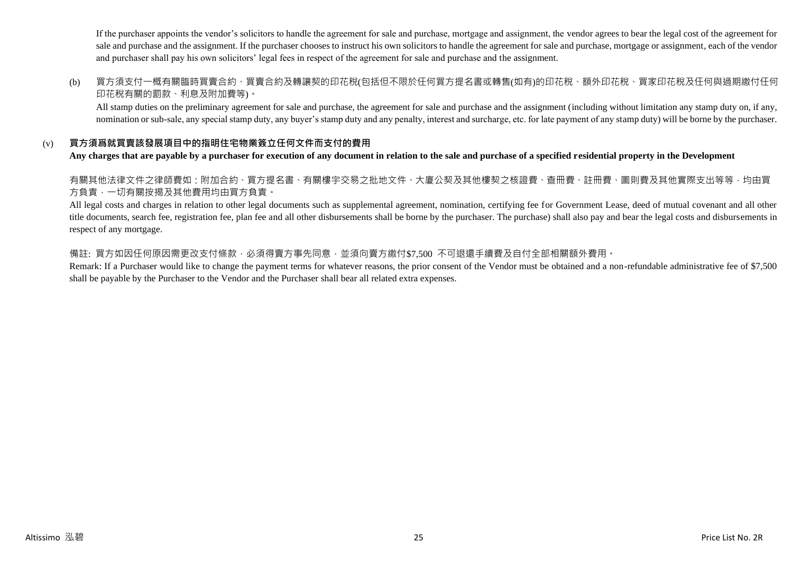If the purchaser appoints the vendor's solicitors to handle the agreement for sale and purchase, mortgage and assignment, the vendor agrees to bear the legal cost of the agreement for sale and purchase and the assignment. If the purchaser chooses to instruct his own solicitors to handle the agreement for sale and purchase, mortgage or assignment, each of the vendor and purchaser shall pay his own solicitors' legal fees in respect of the agreement for sale and purchase and the assignment.

(b) 買方須支付一概有關臨時買賣合約、買賣合約及轉讓契的印花稅(包括但不限於任何買方提名書或轉售(如有)的印花稅、額外印花稅、買家印花稅及任何與過期繳付任何 印花稅有關的罰款、利息及附加費等)。

All stamp duties on the preliminary agreement for sale and purchase, the agreement for sale and purchase and the assignment (including without limitation any stamp duty on, if any, nomination or sub-sale, any special stamp duty, any buyer's stamp duty and any penalty, interest and surcharge, etc. for late payment of any stamp duty) will be borne by the purchaser.

## (v) **買方須爲就買賣該發展項目中的指明住宅物業簽立任何文件而支付的費用**

**Any charges that are payable by a purchaser for execution of any document in relation to the sale and purchase of a specified residential property in the Development**

有關其他法律文件之律師費如:附加合約、買方提名書、有關樓宇交易之批地文件、大廈公契及其他樓契之核證費、查冊費、註冊費、圖則費及其他實際支出等等,均由買 方負責,一切有關按揭及其他費用均由買方負責。

All legal costs and charges in relation to other legal documents such as supplemental agreement, nomination, certifying fee for Government Lease, deed of mutual covenant and all other title documents, search fee, registration fee, plan fee and all other disbursements shall be borne by the purchaser. The purchase) shall also pay and bear the legal costs and disbursements in respect of any mortgage.

#### 備註: 買方如因任何原因需更改支付條款,必須得賣方事先同意,並須向賣方繳付\$7,500 不可退還手續費及自付全部相關額外費用。

Remark: If a Purchaser would like to change the payment terms for whatever reasons, the prior consent of the Vendor must be obtained and a non-refundable administrative fee of \$7,500 shall be payable by the Purchaser to the Vendor and the Purchaser shall bear all related extra expenses.